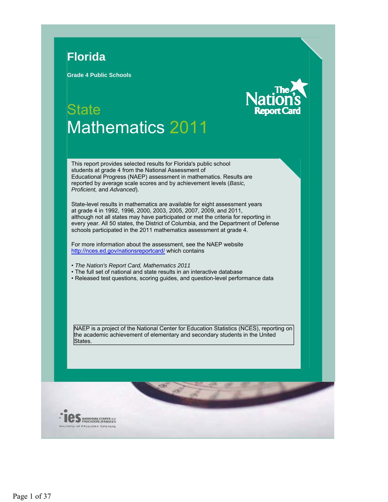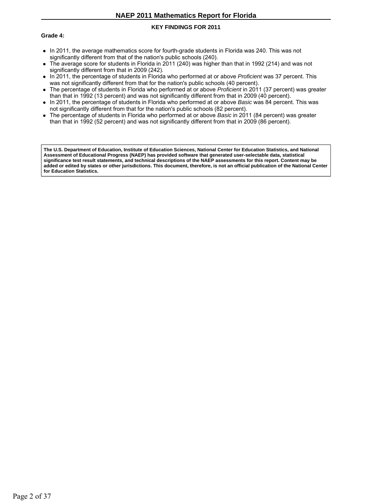### **KEY FINDINGS FOR 2011**

### **Grade 4:**

- In 2011, the average mathematics score for fourth-grade students in Florida was 240. This was not significantly different from that of the nation's public schools (240).
- The average score for students in Florida in 2011 (240) was higher than that in 1992 (214) and was not significantly different from that in 2009 (242).
- In 2011, the percentage of students in Florida who performed at or above *Proficient* was 37 percent. This was not significantly different from that for the nation's public schools (40 percent).
- The percentage of students in Florida who performed at or above *Proficient* in 2011 (37 percent) was greater than that in 1992 (13 percent) and was not significantly different from that in 2009 (40 percent).
- In 2011, the percentage of students in Florida who performed at or above *Basic* was 84 percent. This was not significantly different from that for the nation's public schools (82 percent).
- The percentage of students in Florida who performed at or above *Basic* in 2011 (84 percent) was greater than that in 1992 (52 percent) and was not significantly different from that in 2009 (86 percent).

**The U.S. Department of Education, Institute of Education Sciences, National Center for Education Statistics, and National Assessment of Educational Progress (NAEP) has provided software that generated user-selectable data, statistical significance test result statements, and technical descriptions of the NAEP assessments for this report. Content may be added or edited by states or other jurisdictions. This document, therefore, is not an official publication of the National Center for Education Statistics.**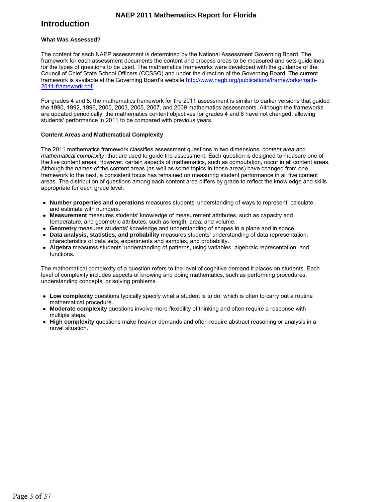# **Introduction**

### **What Was Assessed?**

The content for each NAEP assessment is determined by the National Assessment Governing Board. The framework for each assessment documents the content and process areas to be measured and sets guidelines for the types of questions to be used. The mathematics frameworks were developed with the guidance of the Council of Chief State School Officers (CCSSO) and under the direction of the Governing Board. The current framework is available at the Governing Board's website http://www.nagb.org/publications/frameworks/math-2011-framework.pdf.

For grades 4 and 8, the mathematics framework for the 2011 assessment is similar to earlier versions that guided the 1990, 1992, 1996, 2000, 2003, 2005, 2007, and 2009 mathematics assessments. Although the frameworks are updated periodically, the mathematics content objectives for grades 4 and 8 have not changed, allowing students' performance in 2011 to be compared with previous years.

### **Content Areas and Mathematical Complexity**

The 2011 mathematics framework classifies assessment questions in two dimensions, *content area* and *mathematical complexity*, that are used to guide the assessment. Each question is designed to measure one of the five content areas. However, certain aspects of mathematics, such as computation, occur in all content areas. Although the names of the content areas (as well as some topics in those areas) have changed from one framework to the next, a consistent focus has remained on measuring student performance in all five content areas. The distribution of questions among each content area differs by grade to reflect the knowledge and skills appropriate for each grade level.

- **Number properties and operations** measures students' understanding of ways to represent, calculate, and estimate with numbers.
- **Measurement** measures students' knowledge of measurement attributes, such as capacity and temperature, and geometric attributes, such as length, area, and volume.
- **Geometry** measures students' knowledge and understanding of shapes in a plane and in space.
- **Data analysis, statistics, and probability** measures students' understanding of data representation, characteristics of data sets, experiments and samples, and probability.
- **Algebra** measures students' understanding of patterns, using variables, algebraic representation, and functions.

The mathematical complexity of a question refers to the level of cognitive demand it places on students. Each level of complexity includes aspects of knowing and doing mathematics, such as performing procedures, understanding concepts, or solving problems.

- **Low complexity** questions typically specify what a student is to do, which is often to carry out a routine mathematical procedure.
- **Moderate complexity** questions involve more flexibility of thinking and often require a response with multiple steps.
- **High complexity** questions make heavier demands and often require abstract reasoning or analysis in a novel situation.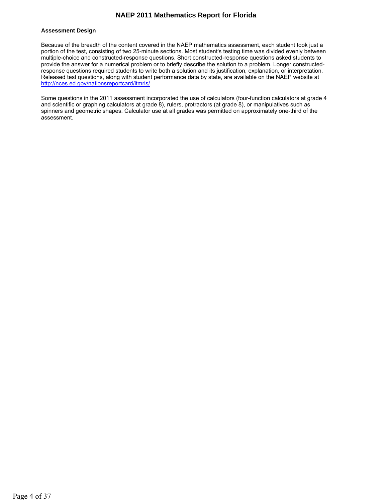### **Assessment Design**

Because of the breadth of the content covered in the NAEP mathematics assessment, each student took just a portion of the test, consisting of two 25-minute sections. Most student's testing time was divided evenly between multiple-choice and constructed-response questions. Short constructed-response questions asked students to provide the answer for a numerical problem or to briefly describe the solution to a problem. Longer constructedresponse questions required students to write both a solution and its justification, explanation, or interpretation. Released test questions, along with student performance data by state, are available on the NAEP website at http://nces.ed.gov/nationsreportcard/itmrls/.

Some questions in the 2011 assessment incorporated the use of calculators (four-function calculators at grade 4 and scientific or graphing calculators at grade 8), rulers, protractors (at grade 8), or manipulatives such as spinners and geometric shapes. Calculator use at all grades was permitted on approximately one-third of the assessment.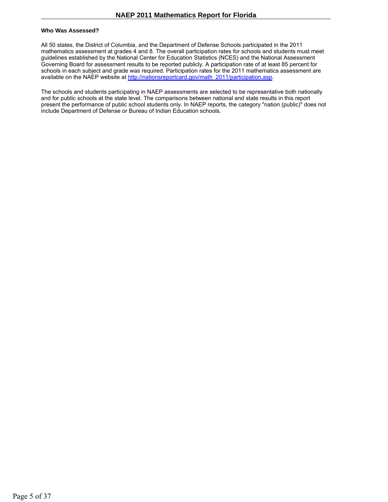### **Who Was Assessed?**

All 50 states, the District of Columbia, and the Department of Defense Schools participated in the 2011 mathematics assessment at grades 4 and 8. The overall participation rates for schools and students must meet guidelines established by the National Center for Education Statistics (NCES) and the National Assessment Governing Board for assessment results to be reported publicly. A participation rate of at least 85 percent for schools in each subject and grade was required. Participation rates for the 2011 mathematics assessment are available on the NAEP website at http://nationsreportcard.gov/math\_2011/participation.asp.

The schools and students participating in NAEP assessments are selected to be representative both nationally and for public schools at the state level. The comparisons between national and state results in this report present the performance of public school students only. In NAEP reports, the category "nation (public)" does not include Department of Defense or Bureau of Indian Education schools.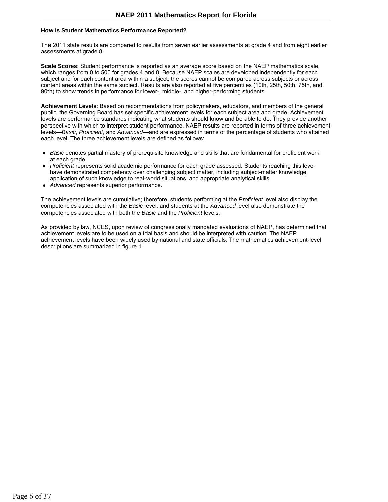### **How Is Student Mathematics Performance Reported?**

The 2011 state results are compared to results from seven earlier assessments at grade 4 and from eight earlier assessments at grade 8.

**Scale Scores**: Student performance is reported as an average score based on the NAEP mathematics scale, which ranges from 0 to 500 for grades 4 and 8. Because NAEP scales are developed independently for each subject and for each content area within a subject, the scores cannot be compared across subjects or across content areas within the same subject. Results are also reported at five percentiles (10th, 25th, 50th, 75th, and 90th) to show trends in performance for lower-, middle-, and higher-performing students.

**Achievement Levels**: Based on recommendations from policymakers, educators, and members of the general public, the Governing Board has set specific achievement levels for each subject area and grade. Achievement levels are performance standards indicating what students should know and be able to do. They provide another perspective with which to interpret student performance. NAEP results are reported in terms of three achievement levels—*Basic*, *Proficient*, and *Advanced*—and are expressed in terms of the percentage of students who attained each level. The three achievement levels are defined as follows:

- *Basic* denotes partial mastery of prerequisite knowledge and skills that are fundamental for proficient work at each grade.
- *Proficient* represents solid academic performance for each grade assessed. Students reaching this level have demonstrated competency over challenging subject matter, including subject-matter knowledge, application of such knowledge to real-world situations, and appropriate analytical skills.
- *Advanced* represents superior performance.

The achievement levels are cumulative; therefore, students performing at the *Proficient* level also display the competencies associated with the *Basic* level, and students at the *Advanced* level also demonstrate the competencies associated with both the *Basic* and the *Proficient* levels.

As provided by law, NCES, upon review of congressionally mandated evaluations of NAEP, has determined that achievement levels are to be used on a trial basis and should be interpreted with caution. The NAEP achievement levels have been widely used by national and state officials. The mathematics achievement-level descriptions are summarized in figure 1.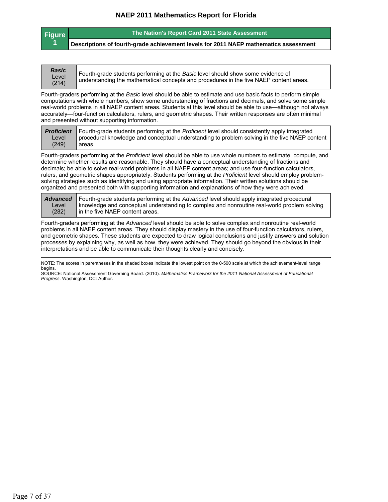#### **Figure 1 The Nation's Report Card 2011 State Assessment Descriptions of fourth-grade achievement levels for 2011 NAEP mathematics assessment**

Fourth-graders performing at the *Basic* level should be able to estimate and use basic facts to perform simple computations with whole numbers, show some understanding of fractions and decimals, and solve some simple real-world problems in all NAEP content areas. Students at this level should be able to use—although not always accurately—four-function calculators, rulers, and geometric shapes. Their written responses are often minimal and presented without supporting information.

|       | <b>Proficient</b>   Fourth-grade students performing at the <i>Proficient</i> level should consistently apply integrated |
|-------|--------------------------------------------------------------------------------------------------------------------------|
| Level | procedural knowledge and conceptual understanding to problem solving in the five NAEP content                            |
| (249) | areas.                                                                                                                   |

Fourth-graders performing at the *Proficient* level should be able to use whole numbers to estimate, compute, and determine whether results are reasonable. They should have a conceptual understanding of fractions and decimals; be able to solve real-world problems in all NAEP content areas; and use four-function calculators, rulers, and geometric shapes appropriately. Students performing at the *Proficient* level should employ problemsolving strategies such as identifying and using appropriate information. Their written solutions should be organized and presented both with supporting information and explanations of how they were achieved.

|       | <b>Advanced</b> Fourth-grade students performing at the Advanced level should apply integrated procedural |
|-------|-----------------------------------------------------------------------------------------------------------|
| Level | I knowledge and conceptual understanding to complex and nonroutine real-world problem solving             |
| (282) | I in the five NAEP content areas.                                                                         |

Fourth-graders performing at the *Advanced* level should be able to solve complex and nonroutine real-world problems in all NAEP content areas. They should display mastery in the use of four-function calculators, rulers, and geometric shapes. These students are expected to draw logical conclusions and justify answers and solution processes by explaining why, as well as how, they were achieved. They should go beyond the obvious in their interpretations and be able to communicate their thoughts clearly and concisely.

SOURCE: National Assessment Governing Board. (2010). *Mathematics Framework for the 2011 National Assessment of Educational Progress*. Washington, DC: Author.

NOTE: The scores in parentheses in the shaded boxes indicate the lowest point on the 0-500 scale at which the achievement-level range begins.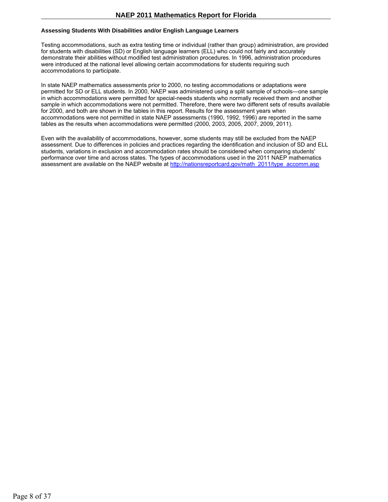### **Assessing Students With Disabilities and/or English Language Learners**

Testing accommodations, such as extra testing time or individual (rather than group) administration, are provided for students with disabilities (SD) or English language learners (ELL) who could not fairly and accurately demonstrate their abilities without modified test administration procedures. In 1996, administration procedures were introduced at the national level allowing certain accommodations for students requiring such accommodations to participate.

In state NAEP mathematics assessments prior to 2000, no testing accommodations or adaptations were permitted for SD or ELL students. In 2000, NAEP was administered using a split sample of schools—one sample in which accommodations were permitted for special-needs students who normally received them and another sample in which accommodations were not permitted. Therefore, there were two different sets of results available for 2000, and both are shown in the tables in this report. Results for the assessment years when accommodations were not permitted in state NAEP assessments (1990, 1992, 1996) are reported in the same tables as the results when accommodations were permitted (2000, 2003, 2005, 2007, 2009, 2011).

Even with the availability of accommodations, however, some students may still be excluded from the NAEP assessment. Due to differences in policies and practices regarding the identification and inclusion of SD and ELL students, variations in exclusion and accommodation rates should be considered when comparing students' performance over time and across states. The types of accommodations used in the 2011 NAEP mathematics assessment are available on the NAEP website at http://nationsreportcard.gov/math\_2011/type\_accomm.asp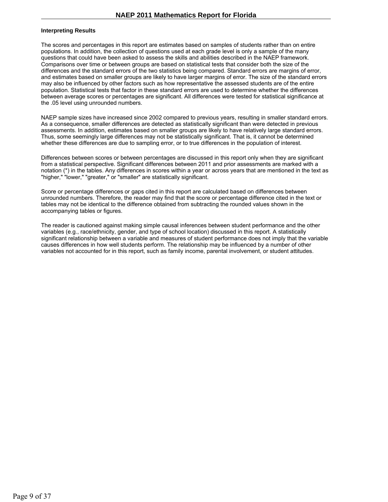### **Interpreting Results**

The scores and percentages in this report are estimates based on samples of students rather than on entire populations. In addition, the collection of questions used at each grade level is only a sample of the many questions that could have been asked to assess the skills and abilities described in the NAEP framework. Comparisons over time or between groups are based on statistical tests that consider both the size of the differences and the standard errors of the two statistics being compared. Standard errors are margins of error, and estimates based on smaller groups are likely to have larger margins of error. The size of the standard errors may also be influenced by other factors such as how representative the assessed students are of the entire population. Statistical tests that factor in these standard errors are used to determine whether the differences between average scores or percentages are significant. All differences were tested for statistical significance at the .05 level using unrounded numbers.

NAEP sample sizes have increased since 2002 compared to previous years, resulting in smaller standard errors. As a consequence, smaller differences are detected as statistically significant than were detected in previous assessments. In addition, estimates based on smaller groups are likely to have relatively large standard errors. Thus, some seemingly large differences may not be statistically significant. That is, it cannot be determined whether these differences are due to sampling error, or to true differences in the population of interest.

Differences between scores or between percentages are discussed in this report only when they are significant from a statistical perspective. Significant differences between 2011 and prior assessments are marked with a notation (\*) in the tables. Any differences in scores within a year or across years that are mentioned in the text as "higher," "lower," "greater," or "smaller" are statistically significant.

Score or percentage differences or gaps cited in this report are calculated based on differences between unrounded numbers. Therefore, the reader may find that the score or percentage difference cited in the text or tables may not be identical to the difference obtained from subtracting the rounded values shown in the accompanying tables or figures.

The reader is cautioned against making simple causal inferences between student performance and the other variables (e.g., race/ethnicity, gender, and type of school location) discussed in this report. A statistically significant relationship between a variable and measures of student performance does not imply that the variable causes differences in how well students perform. The relationship may be influenced by a number of other variables not accounted for in this report, such as family income, parental involvement, or student attitudes.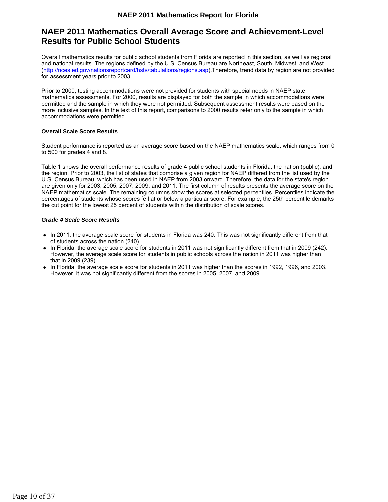# **NAEP 2011 Mathematics Overall Average Score and Achievement-Level Results for Public School Students**

Overall mathematics results for public school students from Florida are reported in this section, as well as regional and national results. The regions defined by the U.S. Census Bureau are Northeast, South, Midwest, and West (http://nces.ed.gov/nationsreportcard/hsts/tabulations/regions.asp).Therefore, trend data by region are not provided for assessment years prior to 2003.

Prior to 2000, testing accommodations were not provided for students with special needs in NAEP state mathematics assessments. For 2000, results are displayed for both the sample in which accommodations were permitted and the sample in which they were not permitted. Subsequent assessment results were based on the more inclusive samples. In the text of this report, comparisons to 2000 results refer only to the sample in which accommodations were permitted.

### **Overall Scale Score Results**

Student performance is reported as an average score based on the NAEP mathematics scale, which ranges from 0 to 500 for grades 4 and 8.

Table 1 shows the overall performance results of grade 4 public school students in Florida, the nation (public), and the region. Prior to 2003, the list of states that comprise a given region for NAEP differed from the list used by the U.S. Census Bureau, which has been used in NAEP from 2003 onward. Therefore, the data for the state's region are given only for 2003, 2005, 2007, 2009, and 2011. The first column of results presents the average score on the NAEP mathematics scale. The remaining columns show the scores at selected percentiles. Percentiles indicate the percentages of students whose scores fell at or below a particular score. For example, the 25th percentile demarks the cut point for the lowest 25 percent of students within the distribution of scale scores.

### *Grade 4 Scale Score Results*

- In 2011, the average scale score for students in Florida was 240. This was not significantly different from that of students across the nation (240).
- In Florida, the average scale score for students in 2011 was not significantly different from that in 2009 (242). However, the average scale score for students in public schools across the nation in 2011 was higher than that in 2009 (239).
- In Florida, the average scale score for students in 2011 was higher than the scores in 1992, 1996, and 2003. However, it was not significantly different from the scores in 2005, 2007, and 2009.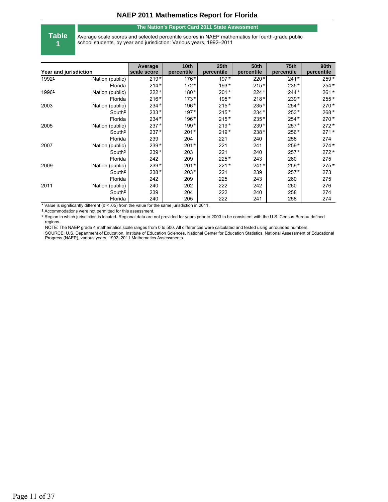### **The Nation's Report Card 2011 State Assessment**

**Table 1**

Average scale scores and selected percentile scores in NAEP mathematics for fourth-grade public school students, by year and jurisdiction: Various years, 1992–2011

|                       |                    | Average     | 10 <sub>th</sub> | 25 <sub>th</sub> | <b>50th</b> | 75th       | 90th       |
|-----------------------|--------------------|-------------|------------------|------------------|-------------|------------|------------|
| Year and jurisdiction |                    | scale score | percentile       | percentile       | percentile  | percentile | percentile |
| 19921                 | Nation (public)    | $219*$      | $176*$           | $197*$           | $220*$      | $241*$     | $259*$     |
|                       | Florida            | $214*$      | $172*$           | $193*$           | $215*$      | 235*       | $254*$     |
| 19961                 | Nation (public)    | $222*$      | $180*$           | $201*$           | $224*$      | $244*$     | 261*       |
|                       | Florida            | $216*$      | $173*$           | 195*             | $218*$      | $239*$     | $255*$     |
| 2003                  | Nation (public)    | $234*$      | $196*$           | $215*$           | $235*$      | $254*$     | $270*$     |
|                       | South <sup>2</sup> | $233*$      | $197*$           | $215*$           | $234*$      | $253*$     | 268*       |
|                       | Florida            | $234*$      | $196*$           | $215*$           | $235*$      | $254*$     | $270*$     |
| 2005                  | Nation (public)    | $237*$      | $199*$           | $219*$           | 239*        | $257*$     | $272*$     |
|                       | South <sup>2</sup> | $237*$      | $201*$           | $219*$           | $238*$      | $256*$     | $271*$     |
|                       | Florida            | 239         | 204              | 221              | 240         | 258        | 274        |
| 2007                  | Nation (public)    | $239*$      | $201*$           | 221              | 241         | $259*$     | $274*$     |
|                       | South <sup>2</sup> | $239*$      | 203              | 221              | 240         | $257*$     | $272*$     |
|                       | Florida            | 242         | 209              | $225*$           | 243         | 260        | 275        |
| 2009                  | Nation (public)    | $239*$      | $201*$           | $221*$           | $241*$      | $259*$     | $275*$     |
|                       | South <sup>2</sup> | $238*$      | $203*$           | 221              | 239         | $257*$     | 273        |
|                       | Florida            | 242         | 209              | 225              | 243         | 260        | 275        |
| 2011                  | Nation (public)    | 240         | 202              | 222              | 242         | 260        | 276        |
|                       | South <sup>2</sup> | 239         | 204              | 222              | 240         | 258        | 274        |
|                       | Florida            | 240         | 205              | 222              | 241         | 258        | 274        |

\* Value is significantly different (*p* < .05) from the value for the same jurisdiction in 2011.

**1** Accommodations were not permitted for this assessment.

**<sup>2</sup>** Region in which jurisdiction is located. Regional data are not provided for years prior to 2003 to be consistent with the U.S. Census Bureau defined regions.

NOTE: The NAEP grade 4 mathematics scale ranges from 0 to 500. All differences were calculated and tested using unrounded numbers. SOURCE: U.S. Department of Education, Institute of Education Sciences, National Center for Education Statistics, National Assessment of Educational Progress (NAEP), various years, 1992–2011 Mathematics Assessments.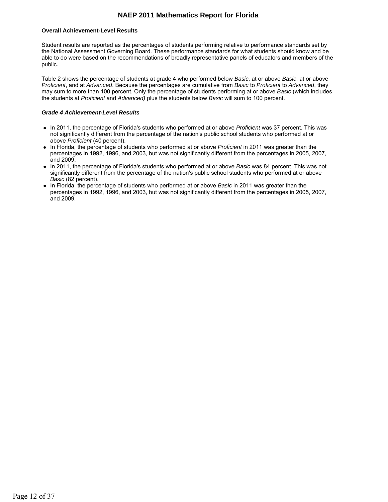### **Overall Achievement-Level Results**

Student results are reported as the percentages of students performing relative to performance standards set by the National Assessment Governing Board. These performance standards for what students should know and be able to do were based on the recommendations of broadly representative panels of educators and members of the public.

Table 2 shows the percentage of students at grade 4 who performed below *Basic*, at or above *Basic*, at or above *Proficient*, and at *Advanced*. Because the percentages are cumulative from *Basic* to *Proficient* to *Advanced*, they may sum to more than 100 percent. Only the percentage of students performing at or above *Basic* (which includes the students at *Proficient* and *Advanced)* plus the students below *Basic* will sum to 100 percent.

### *Grade 4 Achievement-Level Results*

- In 2011, the percentage of Florida's students who performed at or above *Proficient* was 37 percent. This was not significantly different from the percentage of the nation's public school students who performed at or above *Proficient* (40 percent).
- In Florida, the percentage of students who performed at or above *Proficient* in 2011 was greater than the percentages in 1992, 1996, and 2003, but was not significantly different from the percentages in 2005, 2007, and 2009.
- In 2011, the percentage of Florida's students who performed at or above *Basic* was 84 percent. This was not significantly different from the percentage of the nation's public school students who performed at or above *Basic* (82 percent).
- In Florida, the percentage of students who performed at or above *Basic* in 2011 was greater than the percentages in 1992, 1996, and 2003, but was not significantly different from the percentages in 2005, 2007, and 2009.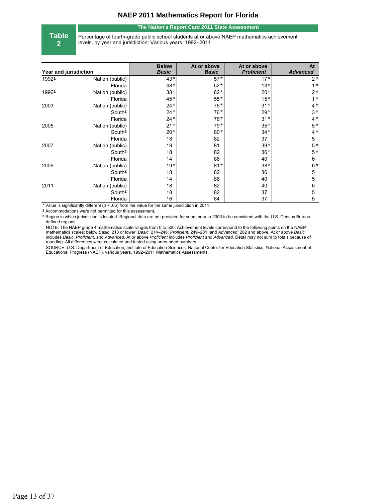#### **The Nation's Report Card 2011 State Assessment**

**Table 2**

Percentage of fourth-grade public school students at or above NAEP mathematics achievement levels, by year and jurisdiction: Various years, 1992–2011

| Year and jurisdiction |                    | <b>Below</b><br><b>Basic</b> | At or above<br><b>Basic</b> | At or above<br><b>Proficient</b> | At<br><b>Advanced</b> |
|-----------------------|--------------------|------------------------------|-----------------------------|----------------------------------|-----------------------|
| 19921                 | Nation (public)    | $43*$                        | $57*$                       | $17*$                            | $2*$                  |
|                       | Florida            | $48*$                        | $52*$                       | $13*$                            | $1*$                  |
| 19961                 | Nation (public)    | $38*$                        | $62*$                       | $20*$                            | $2*$                  |
|                       | Florida            | $45*$                        | $55$ $^{\star}$             | $15*$                            | $1*$                  |
| 2003                  | Nation (public)    | $24*$                        | 76*                         | $31*$                            | $4*$                  |
|                       | South <sup>2</sup> | $24*$                        | $76*$                       | $29*$                            | $3*$                  |
|                       | Florida            | $24*$                        | 76*                         | $31*$                            | $4*$                  |
| 2005                  | Nation (public)    | $21*$                        | $79*$                       | $35*$                            | $5*$                  |
|                       | South <sup>2</sup> | $20*$                        | $80*$                       | $34*$                            | $4*$                  |
|                       | Florida            | 18                           | 82                          | 37                               | 5                     |
| 2007                  | Nation (public)    | 19                           | 81                          | $39*$                            | $5*$                  |
|                       | South <sup>2</sup> | 18                           | 82                          | $36*$                            | $5*$                  |
|                       | Florida            | 14                           | 86                          | 40                               | 6                     |
| 2009                  | Nation (public)    | $19*$                        | $81*$                       | $38*$                            | $6*$                  |
|                       | South <sup>2</sup> | 18                           | 82                          | 36                               | 5                     |
|                       | Florida            | 14                           | 86                          | 40                               | 5                     |
| 2011                  | Nation (public)    | 18                           | 82                          | 40                               | 6                     |
|                       | South <sup>2</sup> | 18                           | 82                          | 37                               | 5                     |
|                       | Florida            | 16                           | 84                          | 37                               | 5                     |

\* Value is significantly different (*p* < .05) from the value for the same jurisdiction in 2011.

**1** Accommodations were not permitted for this assessment.

**<sup>2</sup>** Region in which jurisdiction is located. Regional data are not provided for years prior to 2003 to be consistent with the U.S. Census Bureau defined regions.

NOTE: The NAEP grade 4 mathematics scale ranges from 0 to 500. Achievement levels correspond to the following points on the NAEP mathematics scales: below *Basic*, 213 or lower; *Basic*, 214–248; *Proficient*, 249–281; and *Advanced*, 282 and above. At or above *Basic* includes *Basic*, *Proficient*, and *Advanced*. At or above *Proficient* includes *Proficient* and *Advanced*. Detail may not sum to totals because of rounding. All differences were calculated and tested using unrounded numbers.

SOURCE: U.S. Department of Education, Institute of Education Sciences, National Center for Education Statistics, National Assessment of Educational Progress (NAEP), various years, 1992–2011 Mathematics Assessments.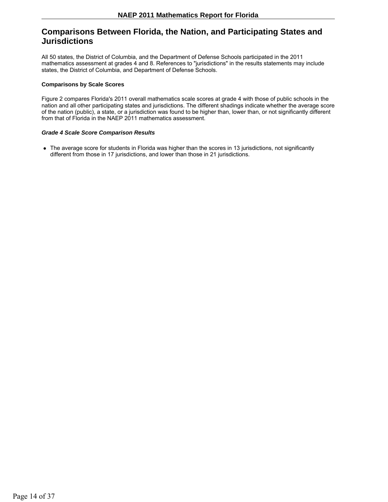# **Comparisons Between Florida, the Nation, and Participating States and Jurisdictions**

All 50 states, the District of Columbia, and the Department of Defense Schools participated in the 2011 mathematics assessment at grades 4 and 8. References to "jurisdictions" in the results statements may include states, the District of Columbia, and Department of Defense Schools.

### **Comparisons by Scale Scores**

Figure 2 compares Florida's 2011 overall mathematics scale scores at grade 4 with those of public schools in the nation and all other participating states and jurisdictions. The different shadings indicate whether the average score of the nation (public), a state, or a jurisdiction was found to be higher than, lower than, or not significantly different from that of Florida in the NAEP 2011 mathematics assessment.

### *Grade 4 Scale Score Comparison Results*

• The average score for students in Florida was higher than the scores in 13 jurisdictions, not significantly different from those in 17 jurisdictions, and lower than those in 21 jurisdictions.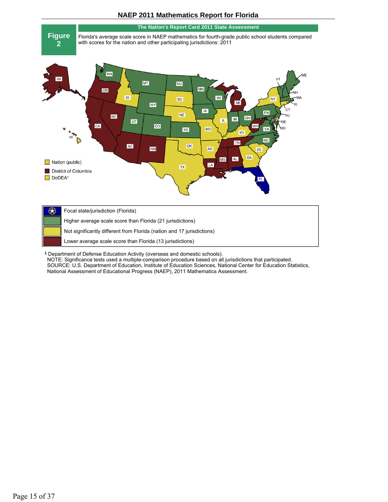

**<sup>1</sup>** Department of Defense Education Activity (overseas and domestic schools).

NOTE: Significance tests used a multiple-comparison procedure based on all jurisdictions that participated. SOURCE: U.S. Department of Education, Institute of Education Sciences, National Center for Education Statistics, National Assessment of Educational Progress (NAEP), 2011 Mathematics Assessment.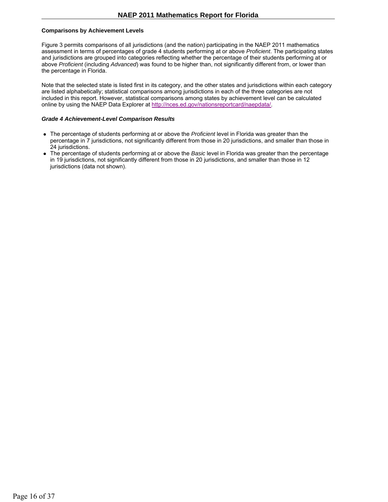### **Comparisons by Achievement Levels**

Figure 3 permits comparisons of all jurisdictions (and the nation) participating in the NAEP 2011 mathematics assessment in terms of percentages of grade 4 students performing at or above *Proficient*. The participating states and jurisdictions are grouped into categories reflecting whether the percentage of their students performing at or above *Proficient* (including *Advanced*) was found to be higher than, not significantly different from, or lower than the percentage in Florida.

Note that the selected state is listed first in its category, and the other states and jurisdictions within each category are listed alphabetically; statistical comparisons among jurisdictions in each of the three categories are not included in this report. However, statistical comparisons among states by achievement level can be calculated online by using the NAEP Data Explorer at http://nces.ed.gov/nationsreportcard/naepdata/.

### *Grade 4 Achievement-Level Comparison Results*

- The percentage of students performing at or above the *Proficient* level in Florida was greater than the percentage in 7 jurisdictions, not significantly different from those in 20 jurisdictions, and smaller than those in 24 jurisdictions.
- The percentage of students performing at or above the *Basic* level in Florida was greater than the percentage in 19 jurisdictions, not significantly different from those in 20 jurisdictions, and smaller than those in 12 jurisdictions (data not shown).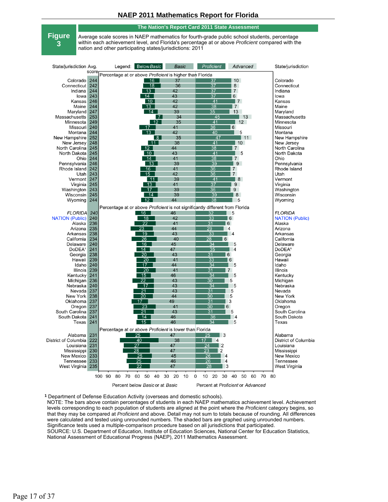#### **The Nation's Report Card 2011 State Assessment**

**Figure** Average scale scores in NAEP mathematics for fourth-grade public school students, percentage within each achievement level, and Florida's percentage at or above *Proficient* compared with the nation and other participating states/jurisdictions: 2011

**3**

| State/jurisdiction Avg. |            |                                                                               | Legend: Below Basic                           | Basic          |   | Proficient                        | Advanced                | State/jurisdiction     |  |
|-------------------------|------------|-------------------------------------------------------------------------------|-----------------------------------------------|----------------|---|-----------------------------------|-------------------------|------------------------|--|
|                         | score      | Percentage at or above Proficient is higher than Florida                      |                                               |                |   |                                   |                         |                        |  |
| Colorado                | 244        |                                                                               | 16                                            | 37             |   | $\overline{37}$                   | 10 <sup>1</sup>         | Colorado               |  |
| Connecticut 242         |            |                                                                               | $\overline{18}$                               | 36             |   | 37                                | 8                       |                        |  |
| Indiana                 | 244        |                                                                               | 13                                            | 42             |   | $\overline{37}$                   | $\overline{7}$          | Connecticut<br>Indiana |  |
|                         |            |                                                                               | 14                                            | 43             |   |                                   | 6                       |                        |  |
| lowa                    | 243<br>246 |                                                                               |                                               | 42             |   | 37<br>41                          |                         | lowa                   |  |
| <b>Kansas</b>           | 244        |                                                                               | 10 <sup>°</sup>                               | 42             |   | 38                                | $\overline{7}$          | Kansas                 |  |
| Maine<br>Marvland       | 247        |                                                                               | 13                                            | 39             |   | $\overline{35}$                   | $\overline{7}$<br>13    | Maine                  |  |
|                         |            |                                                                               | 14<br>$\overline{7}$                          | 34             |   | 45                                |                         | Maryland               |  |
| <b>Massachusetts</b>    | 253        |                                                                               |                                               |                |   | 41                                | 13                      | Massachusetts          |  |
| Minnesota               | 249        |                                                                               | 12                                            | 35             |   |                                   | 12<br>l 6               | Minnesota              |  |
| <b>Missouri</b>         | 240        |                                                                               | 17                                            | 41             |   | $\overline{36}$                   | 5                       | Missouri               |  |
| Montana                 | 244        |                                                                               | 13                                            | 42             |   | 40                                |                         | Montana                |  |
| New Hampshire           | 252        |                                                                               | 8                                             | 35             |   | 47                                | $\vert$ 11              | New Hampshire          |  |
| New Jersey              | 248        |                                                                               | 11                                            | 38             |   | 41                                | 10 <sup>1</sup>         | New Jersey             |  |
| North Carolina          | 245        |                                                                               | $\overline{12}$                               | 44             |   | $\overline{38}$                   | $\overline{7}$          | North Carolina         |  |
| North Dakota            | 245        |                                                                               | 10                                            | 43             |   | $\overline{41}$                   | 5                       | North Dakota           |  |
| Ohio                    | 244        |                                                                               | $\overline{14}$                               | 41             |   | 38                                | $\overline{7}$          | Ohio                   |  |
| Pennsylvania            | 246        |                                                                               | 13                                            | 39             |   | 39                                | 9                       | Pennsylvania           |  |
| Rhode Island            | 242        |                                                                               | $\overline{16}$                               | 41             |   | 36                                | $\overline{7}$          | Rhode Island           |  |
| Utah <sup>1</sup>       | 243        |                                                                               | 15                                            | 42             |   | 36                                | $\overline{7}$          | Utah                   |  |
| Vermont                 | 247        |                                                                               | 11                                            | 39             |   | 41                                | 8                       | Vermont                |  |
| Virginia                | 245        |                                                                               | 13                                            | 41             |   | $\overline{37}$                   | 9                       | Virginia               |  |
| Washington              | 243        |                                                                               | 17                                            | 39             |   | $\overline{36}$                   | 9                       | Washington             |  |
| Wisconsin               | 245        |                                                                               | $\overline{14}$                               | 39             |   | 39                                | 8                       | Wisconsin              |  |
| Wyoming                 | 244        |                                                                               | $\overline{12}$                               | 44             |   | 38                                | 5                       | Wyoming                |  |
|                         |            | Percentage at or above Proficient is not significantly different from Florida |                                               |                |   |                                   |                         |                        |  |
| <b>FLORIDA</b>          | 240        |                                                                               | $\overline{16}$                               | 46             |   | $\overline{32}$                   | 5                       | FLORIDA                |  |
| <b>NATION (Public)</b>  | 240        |                                                                               | 18                                            | 42             |   | 33                                | 6                       | <b>NATION (Public)</b> |  |
| Alaska                  | 236        |                                                                               | 22                                            | 41             |   | 31                                | 6                       | Alaska                 |  |
| Arizona                 | 235        |                                                                               | 23                                            | 44             |   | 29                                | $\overline{4}$          | Arizona                |  |
| Arkansas                | 238        |                                                                               | $\overline{19}$                               | 43             |   | $\overline{33}$                   | $\overline{4}$          | Arkansas               |  |
| California              | 234        |                                                                               | 26                                            | 40             |   | $\overline{28}$<br>6              |                         | California             |  |
| Delaware                | 240        |                                                                               | $\overline{16}$                               | 45             |   | $\overline{34}$                   | 5                       | Delaware               |  |
| DoDEA <sup>1</sup>      | 241        |                                                                               | $\overline{14}$                               | 47             |   | 35                                | $\overline{\mathbf{4}}$ | DoDEA <sup>1</sup>     |  |
| Georgia                 | 238        |                                                                               | 20                                            | 43             |   | 31<br>6                           |                         | Georgia                |  |
| Hawaii                  | 239        |                                                                               | 20                                            | 41             |   | 33                                | 6                       | Hawaii                 |  |
| Idaho                   | 240        |                                                                               | 17                                            | 44             |   | 34                                | 5                       | Idaho                  |  |
| Illinois                | 239        |                                                                               | $\overline{20}$                               | 41             |   | $\overline{31}$                   | $\overline{7}$          | <b>Illinois</b>        |  |
| <b>Kentucky</b>         | 241        |                                                                               | $\overline{15}$                               | 46             |   | 34                                | 5                       | Kentucky               |  |
| <b>Michigan</b>         | 236        |                                                                               | $\overline{22}$                               | 43             |   | $\overline{30}$                   | 5                       | Michigan               |  |
| Nebraska                |            |                                                                               |                                               | 43             |   | 34                                |                         | Nebraska               |  |
| <b>Nevada</b>           | 240<br>237 |                                                                               | $\overline{17}$<br>$\overline{21}$            | 43             |   | 31                                | 5<br>5                  | Nevada                 |  |
|                         | 238        |                                                                               | 20                                            | 44             |   | 30                                | 5                       | New York               |  |
| New York                |            |                                                                               | $\overline{17}$                               | 49             |   | 31                                |                         |                        |  |
| Oklahoma                | 237        |                                                                               |                                               |                |   |                                   | 3                       | Oklahoma               |  |
| Oregon                  | 237        |                                                                               | $\overline{23}$                               | 41             |   | $\overline{30}$<br>6              |                         | Oregon                 |  |
| South Carolina          | 237        |                                                                               | $\overline{21}$                               | 43             |   | 31                                | 5                       | South Carolina         |  |
| South Dakota            | 241        |                                                                               | $\overline{14}$                               | 46             |   | $\overline{36}$                   | $\overline{4}$          | South Dakota           |  |
| Texas I                 | 241        |                                                                               | $\overline{15}$                               | 46             |   | 34                                | 5                       | Texas                  |  |
|                         |            | Percentage at or above Proficient is lower than Florida                       |                                               |                |   |                                   |                         |                        |  |
| Alabama                 | 231        |                                                                               | $\overline{25}$                               | 47             |   | $\overline{25}$<br>$\overline{3}$ |                         | Alabama                |  |
| District of Columbia    | 222        |                                                                               | 40                                            | 38             |   | $\overline{17}$<br>$\overline{4}$ |                         | District of Columbia   |  |
| Louisiana               | 231        |                                                                               | $\overline{27}$                               | 47             |   | $\overline{24}$<br>$\overline{2}$ |                         | Louisiana              |  |
| Mississippi             | 230        |                                                                               | 28                                            | 47             |   | 23<br>l 2                         |                         | Mississippi            |  |
| New Mexico              | 233        |                                                                               | 25                                            | 45             |   | 26<br>$\overline{4}$              |                         | New Mexico             |  |
| Tennessee               | 233        |                                                                               | $\overline{25}$                               | 46             |   | 26<br>4                           |                         | Tennessee              |  |
| West Virginia           | 235        |                                                                               | $\overline{22}$                               | 47             |   | $\overline{28}$<br>3              |                         | West Virginia          |  |
|                         |            |                                                                               |                                               |                |   |                                   |                         |                        |  |
|                         |            | 100 90<br>80<br>70                                                            | 60<br>50<br>40                                | 30<br>20<br>10 | 0 | 30<br>10<br>20                    | 40<br>50<br>60          | 70 80                  |  |
|                         |            |                                                                               |                                               |                |   |                                   |                         |                        |  |
|                         |            |                                                                               | Percent below <i>Basic</i> or at <i>Basic</i> |                |   | Percent at Proficient or Advanced |                         |                        |  |

**<sup>1</sup>** Department of Defense Education Activity (overseas and domestic schools).

NOTE: The bars above contain percentages of students in each NAEP mathematics achievement level. Achievement levels corresponding to each population of students are aligned at the point where the *Proficient* category begins, so that they may be compared at *Proficient* and above. Detail may not sum to totals because of rounding. All differences were calculated and tested using unrounded numbers. The shaded bars are graphed using unrounded numbers. Significance tests used a multiple-comparison procedure based on all jurisdictions that participated. SOURCE: U.S. Department of Education, Institute of Education Sciences, National Center for Education Statistics, National Assessment of Educational Progress (NAEP), 2011 Mathematics Assessment.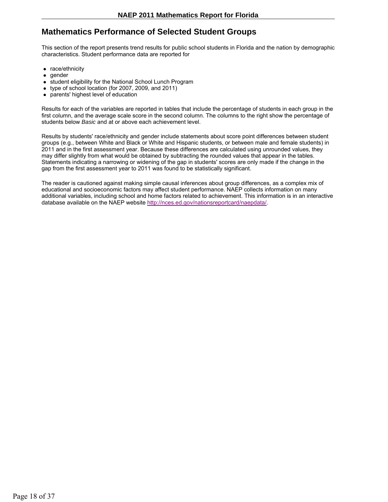# **Mathematics Performance of Selected Student Groups**

This section of the report presents trend results for public school students in Florida and the nation by demographic characteristics. Student performance data are reported for

- race/ethnicity
- gender
- student eligibility for the National School Lunch Program
- type of school location (for 2007, 2009, and 2011)
- parents' highest level of education

Results for each of the variables are reported in tables that include the percentage of students in each group in the first column, and the average scale score in the second column. The columns to the right show the percentage of students below *Basic* and at or above each achievement level.

Results by students' race/ethnicity and gender include statements about score point differences between student groups (e.g., between White and Black or White and Hispanic students, or between male and female students) in 2011 and in the first assessment year. Because these differences are calculated using unrounded values, they may differ slightly from what would be obtained by subtracting the rounded values that appear in the tables. Statements indicating a narrowing or widening of the gap in students' scores are only made if the change in the gap from the first assessment year to 2011 was found to be statistically significant.

The reader is cautioned against making simple causal inferences about group differences, as a complex mix of educational and socioeconomic factors may affect student performance. NAEP collects information on many additional variables, including school and home factors related to achievement. This information is in an interactive database available on the NAEP website http://nces.ed.gov/nationsreportcard/naepdata/.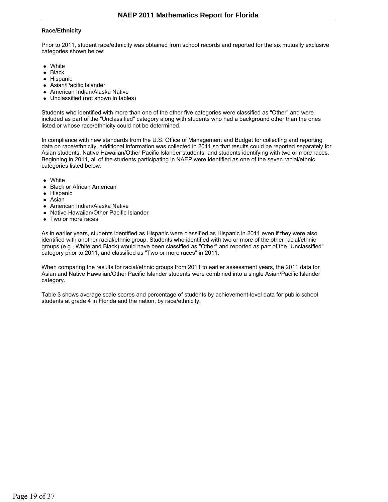### **Race/Ethnicity**

Prior to 2011, student race/ethnicity was obtained from school records and reported for the six mutually exclusive categories shown below:

- White
- Black
- Hispanic
- Asian/Pacific Islander
- American Indian/Alaska Native
- Unclassified (not shown in tables)

Students who identified with more than one of the other five categories were classified as "Other" and were included as part of the "Unclassified" category along with students who had a background other than the ones listed or whose race/ethnicity could not be determined.

In compliance with new standards from the U.S. Office of Management and Budget for collecting and reporting data on race/ethnicity, additional information was collected in 2011 so that results could be reported separately for Asian students, Native Hawaiian/Other Pacific Islander students, and students identifying with two or more races. Beginning in 2011, all of the students participating in NAEP were identified as one of the seven racial/ethnic categories listed below:

- White
- Black or African American
- Hispanic
- Asian
- American Indian/Alaska Native
- Native Hawaiian/Other Pacific Islander
- Two or more races

As in earlier years, students identified as Hispanic were classified as Hispanic in 2011 even if they were also identified with another racial/ethnic group. Students who identified with two or more of the other racial/ethnic groups (e.g., White and Black) would have been classified as "Other" and reported as part of the "Unclassified" category prior to 2011, and classified as "Two or more races" in 2011.

When comparing the results for racial/ethnic groups from 2011 to earlier assessment years, the 2011 data for Asian and Native Hawaiian/Other Pacific Islander students were combined into a single Asian/Pacific Islander category.

Table 3 shows average scale scores and percentage of students by achievement-level data for public school students at grade 4 in Florida and the nation, by race/ethnicity.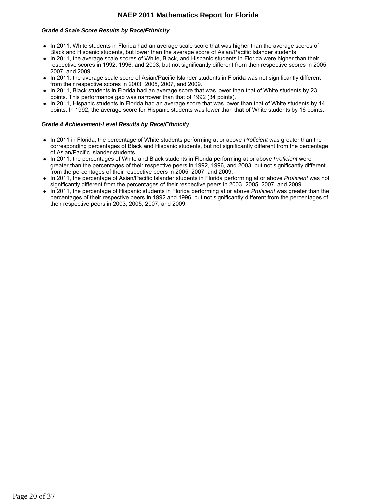### *Grade 4 Scale Score Results by Race/Ethnicity*

- In 2011, White students in Florida had an average scale score that was higher than the average scores of Black and Hispanic students, but lower than the average score of Asian/Pacific Islander students.
- In 2011, the average scale scores of White, Black, and Hispanic students in Florida were higher than their respective scores in 1992, 1996, and 2003, but not significantly different from their respective scores in 2005, 2007, and 2009.
- In 2011, the average scale score of Asian/Pacific Islander students in Florida was not significantly different from their respective scores in 2003, 2005, 2007, and 2009.
- In 2011, Black students in Florida had an average score that was lower than that of White students by 23 points. This performance gap was narrower than that of 1992 (34 points).
- In 2011, Hispanic students in Florida had an average score that was lower than that of White students by 14 points. In 1992, the average score for Hispanic students was lower than that of White students by 16 points.

### *Grade 4 Achievement-Level Results by Race/Ethnicity*

- In 2011 in Florida, the percentage of White students performing at or above *Proficient* was greater than the corresponding percentages of Black and Hispanic students, but not significantly different from the percentage of Asian/Pacific Islander students.
- In 2011, the percentages of White and Black students in Florida performing at or above *Proficient* were greater than the percentages of their respective peers in 1992, 1996, and 2003, but not significantly different from the percentages of their respective peers in 2005, 2007, and 2009.
- In 2011, the percentage of Asian/Pacific Islander students in Florida performing at or above *Proficient* was not significantly different from the percentages of their respective peers in 2003, 2005, 2007, and 2009.
- In 2011, the percentage of Hispanic students in Florida performing at or above *Proficient* was greater than the percentages of their respective peers in 1992 and 1996, but not significantly different from the percentages of their respective peers in 2003, 2005, 2007, and 2009.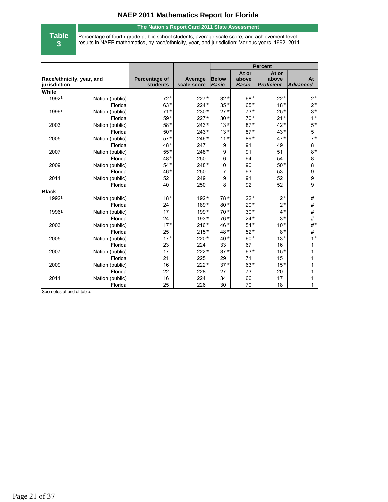### **The Nation's Report Card 2011 State Assessment**

**Table 3**

Percentage of fourth-grade public school students, average scale score, and achievement-level results in NAEP mathematics, by race/ethnicity, year, and jurisdiction: Various years, 1992–2011

|                                           |                 |                                  |                        | <b>Percent</b>               |                                |                                     |                |
|-------------------------------------------|-----------------|----------------------------------|------------------------|------------------------------|--------------------------------|-------------------------------------|----------------|
| Race/ethnicity, year, and<br>jurisdiction |                 | Percentage of<br><b>students</b> | Average<br>scale score | <b>Below</b><br><b>Basic</b> | At or<br>above<br><b>Basic</b> | At or<br>above<br><b>Proficient</b> | At<br>Advanced |
| White                                     |                 |                                  |                        |                              |                                |                                     |                |
| 19921                                     | Nation (public) | $72*$                            | $227*$                 | $32*$                        | 68*                            | $22*$                               | $2^{\,*}$      |
|                                           | Florida         | $63*$                            | $224*$                 | $35*$                        | $65*$                          | $18*$                               | $2^{\star}$    |
| 19961                                     | Nation (public) | $71*$                            | $230*$                 | $27*$                        | $73*$                          | $25*$                               | $3*$           |
|                                           | Florida         | $59*$                            | $227*$                 | $30*$                        | $70*$                          | $21*$                               | $1^{\star}$    |
| 2003                                      | Nation (public) | $58*$                            | $243*$                 | $13*$                        | $87*$                          | $42*$                               | $5*$           |
|                                           | Florida         | $50*$                            | $243*$                 | $13*$                        | $87*$                          | $43*$                               | 5              |
| 2005                                      | Nation (public) | $57*$                            | 246*                   | $11*$                        | 89*                            | $47*$                               | $7*$           |
|                                           | Florida         | $48*$                            | 247                    | 9                            | 91                             | 49                                  | 8              |
| 2007                                      | Nation (public) | $55*$                            | $248*$                 | 9                            | 91                             | 51                                  | $8*$           |
|                                           | Florida         | $48*$                            | 250                    | 6                            | 94                             | 54                                  | $\bf8$         |
| 2009                                      | Nation (public) | $54*$                            | $248*$                 | 10                           | 90                             | $50*$                               | 8              |
|                                           | Florida         | $46*$                            | 250                    | $\overline{7}$               | 93                             | 53                                  | 9              |
| 2011                                      | Nation (public) | 52                               | 249                    | 9                            | 91                             | 52                                  | 9              |
|                                           | Florida         | 40                               | 250                    | 8                            | 92                             | 52                                  | 9              |
| <b>Black</b>                              |                 |                                  |                        |                              |                                |                                     |                |
| 19921                                     | Nation (public) | $18*$                            | $192*$                 | $78*$                        | $22*$                          | $2*$                                | #              |
|                                           | Florida         | 24                               | $189*$                 | $80*$                        | $20*$                          | $2*$                                | $\#$           |
| 19961                                     | Nation (public) | 17                               | $199*$                 | $70*$                        | $30*$                          | $4^{\star}$                         | $\#$           |
|                                           | Florida         | 24                               | $193*$                 | $76*$                        | $24*$                          | $3*$                                | $\#$           |
| 2003                                      | Nation (public) | $17*$                            | $216*$                 | 46*                          | $54*$                          | $10*$                               | $#^{\star}$    |
|                                           | Florida         | 25                               | $215*$                 | 48*                          | $52*$                          | $8*$                                | $\#$           |
| 2005                                      | Nation (public) | $17*$                            | 220*                   | $40*$                        | $60*$                          | $13*$                               | $1^{\star}$    |
|                                           | Florida         | 23                               | 224                    | 33                           | 67                             | 16                                  | 1              |
| 2007                                      | Nation (public) | 17                               | $222*$                 | $37*$                        | $63*$                          | $15*$                               | 1              |
|                                           | Florida         | 21                               | 225                    | 29                           | 71                             | 15                                  | 1              |
| 2009                                      | Nation (public) | 16                               | $222*$                 | $37*$                        | $63*$                          | $15*$                               | 1              |
|                                           | Florida         | 22                               | 228                    | 27                           | 73                             | 20                                  | 1              |
| 2011                                      | Nation (public) | 16                               | 224                    | 34                           | 66                             | 17                                  | 1              |
|                                           | Florida         | 25                               | 226                    | 30                           | 70                             | 18                                  | 1              |

See notes at end of table.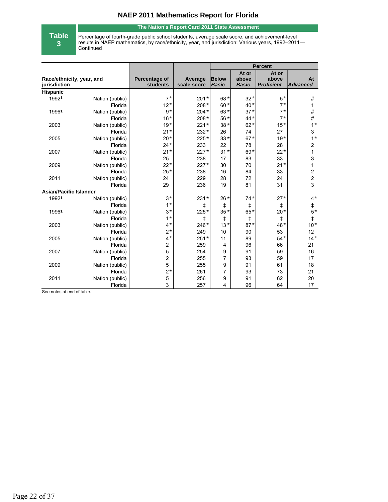### **The Nation's Report Card 2011 State Assessment**

**Table**

**3**

Percentage of fourth-grade public school students, average scale score, and achievement-level results in NAEP mathematics, by race/ethnicity, year, and jurisdiction: Various years, 1992–2011— Continued

|                                           |                 |                           |                        | <b>Percent</b>               |                                |                                     |                           |
|-------------------------------------------|-----------------|---------------------------|------------------------|------------------------------|--------------------------------|-------------------------------------|---------------------------|
| Race/ethnicity, year, and<br>jurisdiction |                 | Percentage of<br>students | Average<br>scale score | <b>Below</b><br><b>Basic</b> | At or<br>above<br><b>Basic</b> | At or<br>above<br><b>Proficient</b> | At<br><b>Advanced</b>     |
| Hispanic                                  |                 |                           |                        |                              |                                |                                     |                           |
| 19921                                     | Nation (public) | $7^{\star}$               | $201*$                 | $68*$                        | $32*$                          | $5*$                                | #                         |
|                                           | Florida         | $12*$                     | $208*$                 | $60*$                        | $40*$                          | $7*$                                | 1                         |
| 19961                                     | Nation (public) | $9*$                      | $204*$                 | $63*$                        | $37*$                          | $7^{\star}$                         | $\#$                      |
|                                           | Florida         | $16*$                     | $208*$                 | $56*$                        | $44*$                          | $7^{\star}$                         | $\#$                      |
| 2003                                      | Nation (public) | $19*$                     | $221*$                 | $38*$                        | $62*$                          | $15*$                               | $1^{\star}$               |
|                                           | Florida         | $21*$                     | $232*$                 | 26                           | 74                             | 27                                  | $\ensuremath{\mathsf{3}}$ |
| 2005                                      | Nation (public) | $20*$                     | $225*$                 | $33*$                        | $67*$                          | $19*$                               | $1^{\star}$               |
|                                           | Florida         | $24*$                     | 233                    | 22                           | 78                             | 28                                  | $\mathbf 2$               |
| 2007                                      | Nation (public) | $21*$                     | $227*$                 | $31*$                        | $69*$                          | $22*$                               | $\mathbf 1$               |
|                                           | Florida         | 25                        | 238                    | 17                           | 83                             | 33                                  | 3                         |
| 2009                                      | Nation (public) | $22*$                     | $227*$                 | 30                           | 70                             | $21*$                               | $\mathbf 1$               |
|                                           | Florida         | $25*$                     | 238                    | 16                           | 84                             | 33                                  | $\mathbf 2$               |
| 2011                                      | Nation (public) | 24                        | 229                    | 28                           | 72                             | 24                                  | $\boldsymbol{2}$          |
|                                           | Florida         | 29                        | 236                    | 19                           | 81                             | 31                                  | $\overline{3}$            |
| <b>Asian/Pacific Islander</b>             |                 |                           |                        |                              |                                |                                     |                           |
| 19921                                     | Nation (public) | $3*$                      | $231*$                 | $26*$                        | $74*$                          | $27*$                               | $4*$                      |
|                                           | Florida         | $1*$                      | ŧ                      | ŧ                            | ŧ                              | ŧ                                   | $\ddagger$                |
| 19961                                     | Nation (public) | $3*$                      | $225*$                 | $35*$                        | $65*$                          | $20*$                               | $5*$                      |
|                                           | Florida         | $1*$                      | ŧ                      | ŧ                            | ŧ                              | ŧ                                   | $\ddagger$                |
| 2003                                      | Nation (public) | $4^{\star}$               | $246*$                 | $13*$                        | $87*$                          | 48*                                 | $10*$                     |
|                                           | Florida         | $2^*$                     | 249                    | 10                           | 90                             | 53                                  | 12                        |
| 2005                                      | Nation (public) | $4*$                      | $251*$                 | 11                           | 89                             | $54*$                               | $14*$                     |
|                                           | Florida         | 2                         | 259                    | 4                            | 96                             | 66                                  | 21                        |
| 2007                                      | Nation (public) | 5                         | 254                    | 9                            | 91                             | 59                                  | 16                        |
|                                           | Florida         | $\overline{c}$            | 255                    | $\overline{7}$               | 93                             | 59                                  | 17                        |
| 2009                                      | Nation (public) | 5                         | 255                    | 9                            | 91                             | 61                                  | 18                        |
|                                           | Florida         | $2^{\star}$               | 261                    | $\overline{7}$               | 93                             | 73                                  | 21                        |
| 2011                                      | Nation (public) | 5                         | 256                    | 9                            | 91                             | 62                                  | 20                        |
|                                           | Florida         | 3                         | 257                    | 4                            | 96                             | 64                                  | 17                        |

See notes at end of table.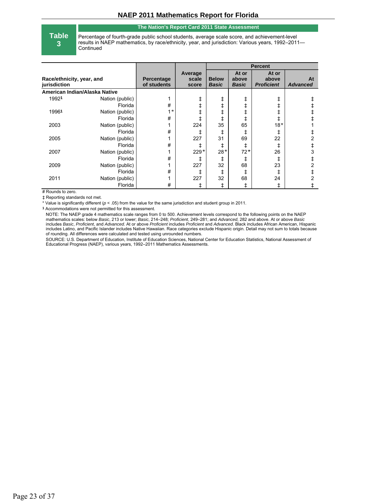### **The Nation's Report Card 2011 State Assessment**

**Table**

**3**

Percentage of fourth-grade public school students, average scale score, and achievement-level results in NAEP mathematics, by race/ethnicity, year, and jurisdiction: Various years, 1992–2011— **Continued** 

|                                           |                 |                           |                           | <b>Percent</b>               |                         |                                     |                       |
|-------------------------------------------|-----------------|---------------------------|---------------------------|------------------------------|-------------------------|-------------------------------------|-----------------------|
| Race/ethnicity, year, and<br>jurisdiction |                 | Percentage<br>of students | Average<br>scale<br>score | <b>Below</b><br><b>Basic</b> | At or<br>above<br>Basic | At or<br>above<br><b>Proficient</b> | At<br><b>Advanced</b> |
| American Indian/Alaska Native             |                 |                           |                           |                              |                         |                                     |                       |
| 19921                                     | Nation (public) |                           | ŧ                         | ŧ                            | ŧ                       | ŧ                                   |                       |
|                                           | Florida         | #                         |                           | ŧ                            |                         | ŧ                                   |                       |
| 19961                                     | Nation (public) | $1^{\star}$               | ŧ                         | ŧ                            |                         | ŧ                                   |                       |
|                                           | Florida         | #                         | ŧ                         | ŧ                            |                         | ŧ                                   |                       |
| 2003                                      | Nation (public) | 1                         | 224                       | 35                           | 65                      | $18*$                               |                       |
|                                           | Florida         | #                         | ŧ                         | ŧ                            | ŧ                       | ŧ                                   |                       |
| 2005                                      | Nation (public) | 1                         | 227                       | 31                           | 69                      | 22                                  | 2                     |
|                                           | Florida         | #                         |                           | ŧ                            | ŧ                       | ŧ                                   | Ŧ                     |
| 2007                                      | Nation (public) | 1                         | $229*$                    | $28*$                        | $72*$                   | 26                                  | 3                     |
|                                           | Florida         | #                         | ŧ                         | ŧ                            | ŧ                       | ŧ                                   |                       |
| 2009                                      | Nation (public) |                           | 227                       | 32                           | 68                      | 23                                  | 2                     |
|                                           | Florida         | #                         |                           | ŧ                            | ŧ                       | ŧ                                   |                       |
| 2011                                      | Nation (public) | 1                         | 227                       | 32                           | 68                      | 24                                  | 2                     |
|                                           | Florida         | #                         | ŧ                         | ŧ                            | ŧ                       | ŧ                                   |                       |

# Rounds to zero.

‡ Reporting standards not met.

\* Value is significantly different (*p* < .05) from the value for the same jurisdiction and student group in 2011.

**<sup>1</sup>** Accommodations were not permitted for this assessment.

NOTE: The NAEP grade 4 mathematics scale ranges from 0 to 500. Achievement levels correspond to the following points on the NAEP mathematics scales: below *Basic*, 213 or lower; *Basic*, 214–248; *Proficient*, 249–281; and *Advanced*, 282 and above. At or above *Basic* includes *Basic*, *Proficient*, and *Advanced*. At or above *Proficient* includes *Proficient* and *Advanced*. Black includes African American, Hispanic includes Latino, and Pacific Islander includes Native Hawaiian. Race categories exclude Hispanic origin. Detail may not sum to totals because of rounding. All differences were calculated and tested using unrounded numbers.

SOURCE: U.S. Department of Education, Institute of Education Sciences, National Center for Education Statistics, National Assessment of Educational Progress (NAEP), various years, 1992–2011 Mathematics Assessments.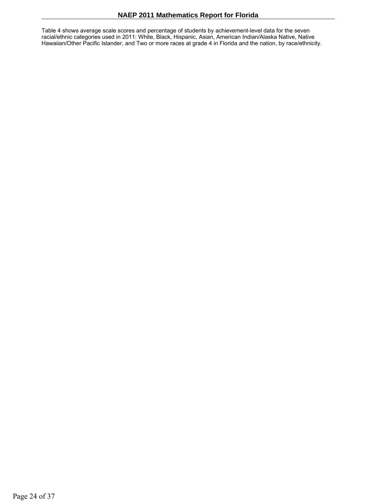Table 4 shows average scale scores and percentage of students by achievement-level data for the seven racial/ethnic categories used in 2011: White, Black, Hispanic, Asian, American Indian/Alaska Native, Native Hawaiian/Other Pacific Islander, and Two or more races at grade 4 in Florida and the nation, by race/ethnicity.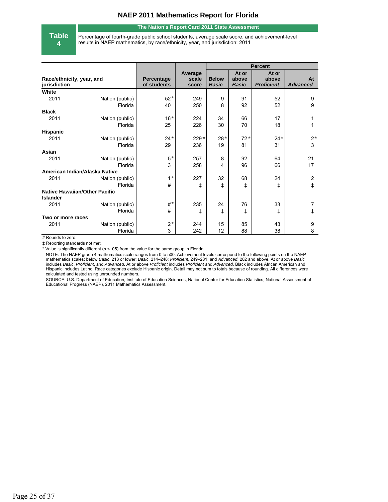### **The Nation's Report Card 2011 State Assessment**

**Table 4**

Percentage of fourth-grade public school students, average scale score, and achievement-level results in NAEP mathematics, by race/ethnicity, year, and jurisdiction: 2011

|                                                         |                            |                           |                           | <b>Percent</b>               |                                |                                     |                              |
|---------------------------------------------------------|----------------------------|---------------------------|---------------------------|------------------------------|--------------------------------|-------------------------------------|------------------------------|
| Race/ethnicity, year, and<br>jurisdiction               |                            | Percentage<br>of students | Average<br>scale<br>score | <b>Below</b><br><b>Basic</b> | At or<br>above<br><b>Basic</b> | At or<br>above<br><b>Proficient</b> | At<br><b>Advanced</b>        |
| White                                                   |                            |                           |                           |                              |                                |                                     |                              |
| 2011                                                    | Nation (public)<br>Florida | $52*$<br>40               | 249<br>250                | 9<br>8                       | 91<br>92                       | 52<br>52                            | 9<br>9                       |
| <b>Black</b>                                            |                            |                           |                           |                              |                                |                                     |                              |
| 2011                                                    | Nation (public)<br>Florida | $16*$<br>25               | 224<br>226                | 34<br>30                     | 66<br>70                       | 17<br>18                            | 1<br>1                       |
| <b>Hispanic</b>                                         |                            |                           |                           |                              |                                |                                     |                              |
| 2011                                                    | Nation (public)<br>Florida | $24*$<br>29               | $229*$<br>236             | $28*$<br>19                  | $72*$<br>81                    | $24*$<br>31                         | $2*$<br>3                    |
| Asian                                                   |                            |                           |                           |                              |                                |                                     |                              |
| 2011                                                    | Nation (public)<br>Florida | $5*$<br>3                 | 257<br>258                | 8<br>4                       | 92<br>96                       | 64<br>66                            | 21<br>17                     |
| American Indian/Alaska Native                           |                            |                           |                           |                              |                                |                                     |                              |
| 2011                                                    | Nation (public)<br>Florida | $1^{\star}$<br>#          | 227<br>ŧ                  | 32<br>ŧ                      | 68<br>ŧ                        | 24<br>ŧ                             | $\overline{c}$<br>$\ddagger$ |
| <b>Native Hawaiian/Other Pacific</b><br><b>Islander</b> |                            |                           |                           |                              |                                |                                     |                              |
| 2011                                                    | Nation (public)<br>Florida | $#^*$<br>#                | 235<br>ŧ                  | 24<br>ŧ                      | 76<br>ŧ                        | 33<br>ŧ                             | 7<br>ŧ                       |
| Two or more races                                       |                            |                           |                           |                              |                                |                                     |                              |
| 2011                                                    | Nation (public)<br>Florida | $2^*$<br>3                | 244<br>242                | 15<br>12                     | 85<br>88                       | 43<br>38                            | 9<br>8                       |

# Rounds to zero.

‡ Reporting standards not met.

\* Value is significantly different (*p* < .05) from the value for the same group in Florida.

NOTE: The NAEP grade 4 mathematics scale ranges from 0 to 500. Achievement levels correspond to the following points on the NAEP mathematics scales: below *Basic*, 213 or lower; *Basic*, 214–248; *Proficient*, 249–281; and *Advanced*, 282 and above. At or above *Basic* includes *Basic*, *Proficient*, and *Advanced*. At or above *Proficient* includes *Proficient* and *Advanced*. Black includes African American and Hispanic includes Latino. Race categories exclude Hispanic origin. Detail may not sum to totals because of rounding. All differences were calculated and tested using unrounded numbers.

SOURCE: U.S. Department of Education, Institute of Education Sciences, National Center for Education Statistics, National Assessment of Educational Progress (NAEP), 2011 Mathematics Assessment.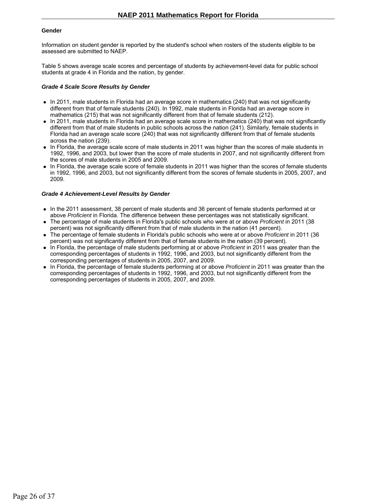### **Gender**

Information on student gender is reported by the student's school when rosters of the students eligible to be assessed are submitted to NAEP.

Table 5 shows average scale scores and percentage of students by achievement-level data for public school students at grade 4 in Florida and the nation, by gender.

### *Grade 4 Scale Score Results by Gender*

- In 2011, male students in Florida had an average score in mathematics (240) that was not significantly different from that of female students (240). In 1992, male students in Florida had an average score in mathematics (215) that was not significantly different from that of female students (212).
- In 2011, male students in Florida had an average scale score in mathematics (240) that was not significantly different from that of male students in public schools across the nation (241). Similarly, female students in Florida had an average scale score (240) that was not significantly different from that of female students across the nation (239).
- In Florida, the average scale score of male students in 2011 was higher than the scores of male students in 1992, 1996, and 2003, but lower than the score of male students in 2007, and not significantly different from the scores of male students in 2005 and 2009.
- In Florida, the average scale score of female students in 2011 was higher than the scores of female students in 1992, 1996, and 2003, but not significantly different from the scores of female students in 2005, 2007, and 2009.

### *Grade 4 Achievement-Level Results by Gender*

- In the 2011 assessment, 38 percent of male students and 36 percent of female students performed at or above *Proficient* in Florida. The difference between these percentages was not statistically significant.
- The percentage of male students in Florida's public schools who were at or above *Proficient* in 2011 (38 percent) was not significantly different from that of male students in the nation (41 percent).
- The percentage of female students in Florida's public schools who were at or above *Proficient* in 2011 (36 percent) was not significantly different from that of female students in the nation (39 percent).
- In Florida, the percentage of male students performing at or above *Proficient* in 2011 was greater than the corresponding percentages of students in 1992, 1996, and 2003, but not significantly different from the corresponding percentages of students in 2005, 2007, and 2009.
- In Florida, the percentage of female students performing at or above *Proficient* in 2011 was greater than the corresponding percentages of students in 1992, 1996, and 2003, but not significantly different from the corresponding percentages of students in 2005, 2007, and 2009.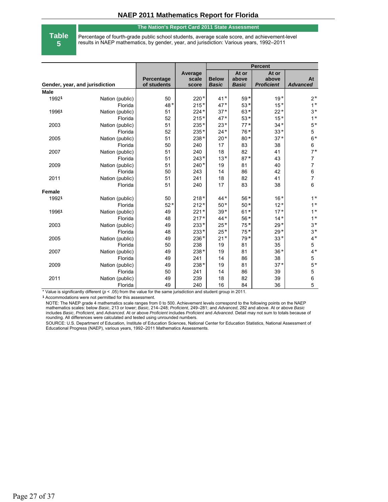#### **The Nation's Report Card 2011 State Assessment**

**Table 5**

Percentage of fourth-grade public school students, average scale score, and achievement-level results in NAEP mathematics, by gender, year, and jurisdiction: Various years, 1992–2011

|                                |                 |             |         | <b>Percent</b> |              |                   |                 |
|--------------------------------|-----------------|-------------|---------|----------------|--------------|-------------------|-----------------|
|                                |                 |             | Average |                | At or        | At or             |                 |
|                                |                 | Percentage  | scale   | <b>Below</b>   | above        | above             | At              |
| Gender, year, and jurisdiction |                 | of students | score   | <b>Basic</b>   | <b>Basic</b> | <b>Proficient</b> | <b>Advanced</b> |
| <b>Male</b>                    |                 |             |         |                |              |                   |                 |
| 19921                          | Nation (public) | 50          | $220*$  | $41*$          | $59*$        | $19*$             | $2^{\star}$     |
|                                | Florida         | $48*$       | $215*$  | $47*$          | $53*$        | $15*$             | $1^{\star}$     |
| 19961                          | Nation (public) | 51          | $224*$  | $37*$          | $63*$        | $22*$             | $3*$            |
|                                | Florida         | 52          | $215*$  | $47*$          | $53*$        | $15*$             | $1^{\star}$     |
| 2003                           | Nation (public) | 51          | $235*$  | $23*$          | $77*$        | $34*$             | $5*$            |
|                                | Florida         | 52          | 235*    | $24*$          | 76*          | $33*$             | 5               |
| 2005                           | Nation (public) | 51          | 238*    | $20*$          | $80*$        | $37*$             | $6*$            |
|                                | Florida         | 50          | 240     | 17             | 83           | 38                | 6               |
| 2007                           | Nation (public) | 51          | 240     | 18             | 82           | 41                | $7*$            |
|                                | Florida         | 51          | $243*$  | $13*$          | $87*$        | 43                | $\overline{7}$  |
| 2009                           | Nation (public) | 51          | $240*$  | 19             | 81           | 40                | $\overline{7}$  |
|                                | Florida         | 50          | 243     | 14             | 86           | 42                | $\,6$           |
| 2011                           | Nation (public) | 51          | 241     | 18             | 82           | 41                | $\overline{7}$  |
|                                | Florida         | 51          | 240     | 17             | 83           | 38                | 6               |
| Female                         |                 |             |         |                |              |                   |                 |
| 19921                          | Nation (public) | 50          | $218*$  | $44*$          | $56*$        | $16*$             | $1^{\star}$     |
|                                | Florida         | $52*$       | $212*$  | $50*$          | $50*$        | $12*$             | $1^{\star}$     |
| 19961                          | Nation (public) | 49          | $221*$  | $39*$          | $61*$        | $17*$             | $1^{\star}$     |
|                                | Florida         | 48          | $217*$  | $44*$          | $56*$        | $14*$             | $1^{\star}$     |
| 2003                           | Nation (public) | 49          | 233*    | $25*$          | $75*$        | $29*$             | $3*$            |
|                                | Florida         | 48          | 233*    | $25*$          | $75*$        | $29*$             | $3*$            |
| 2005                           | Nation (public) | 49          | 236*    | $21*$          | $79*$        | $33*$             | $4*$            |
|                                | Florida         | 50          | 238     | 19             | 81           | 35                | $\mathbf 5$     |
| 2007                           | Nation (public) | 49          | $238*$  | 19             | 81           | $36*$             | $4*$            |
|                                | Florida         | 49          | 241     | 14             | 86           | 38                | $\mathbf 5$     |
| 2009                           | Nation (public) | 49          | 238*    | 19             | 81           | $37*$             | $5^{\,*}$       |
|                                | Florida         | 50          | 241     | 14             | 86           | 39                | 5               |
| 2011                           | Nation (public) | 49          | 239     | 18             | 82           | 39                | 6               |
|                                | Florida         | 49          | 240     | 16             | 84           | 36                | 5               |

\* Value is significantly different (*p* < .05) from the value for the same jurisdiction and student group in 2011.

**<sup>1</sup>** Accommodations were not permitted for this assessment.

NOTE: The NAEP grade 4 mathematics scale ranges from 0 to 500. Achievement levels correspond to the following points on the NAEP mathematics scales: below *Basic*, 213 or lower; *Basic*, 214–248; *Proficient*, 249–281; and *Advanced*, 282 and above. At or above *Basic* includes *Basic*, *Proficient*, and *Advanced*. At or above *Proficient* includes *Proficient* and *Advanced*. Detail may not sum to totals because of rounding. All differences were calculated and tested using unrounded numbers.

SOURCE: U.S. Department of Education, Institute of Education Sciences, National Center for Education Statistics, National Assessment of Educational Progress (NAEP), various years, 1992–2011 Mathematics Assessments.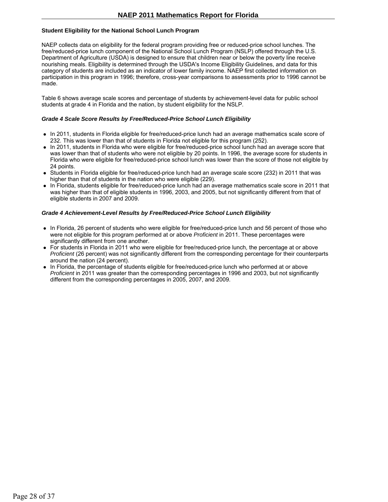### **Student Eligibility for the National School Lunch Program**

NAEP collects data on eligibility for the federal program providing free or reduced-price school lunches. The free/reduced-price lunch component of the National School Lunch Program (NSLP) offered through the U.S. Department of Agriculture (USDA) is designed to ensure that children near or below the poverty line receive nourishing meals. Eligibility is determined through the USDA's Income Eligibility Guidelines, and data for this category of students are included as an indicator of lower family income. NAEP first collected information on participation in this program in 1996; therefore, cross-year comparisons to assessments prior to 1996 cannot be made.

Table 6 shows average scale scores and percentage of students by achievement-level data for public school students at grade 4 in Florida and the nation, by student eligibility for the NSLP.

### *Grade 4 Scale Score Results by Free/Reduced-Price School Lunch Eligibility*

- In 2011, students in Florida eligible for free/reduced-price lunch had an average mathematics scale score of 232. This was lower than that of students in Florida not eligible for this program (252).
- In 2011, students in Florida who were eligible for free/reduced-price school lunch had an average score that was lower than that of students who were not eligible by 20 points. In 1996, the average score for students in Florida who were eligible for free/reduced-price school lunch was lower than the score of those not eligible by 24 points.
- Students in Florida eligible for free/reduced-price lunch had an average scale score (232) in 2011 that was higher than that of students in the nation who were eligible (229).
- In Florida, students eligible for free/reduced-price lunch had an average mathematics scale score in 2011 that was higher than that of eligible students in 1996, 2003, and 2005, but not significantly different from that of eligible students in 2007 and 2009.

### *Grade 4 Achievement-Level Results by Free/Reduced-Price School Lunch Eligibility*

- In Florida, 26 percent of students who were eligible for free/reduced-price lunch and 56 percent of those who were not eligible for this program performed at or above *Proficient* in 2011. These percentages were significantly different from one another.
- For students in Florida in 2011 who were eligible for free/reduced-price lunch, the percentage at or above *Proficient* (26 percent) was not significantly different from the corresponding percentage for their counterparts around the nation (24 percent).
- In Florida, the percentage of students eligible for free/reduced-price lunch who performed at or above *Proficient* in 2011 was greater than the corresponding percentages in 1996 and 2003, but not significantly different from the corresponding percentages in 2005, 2007, and 2009.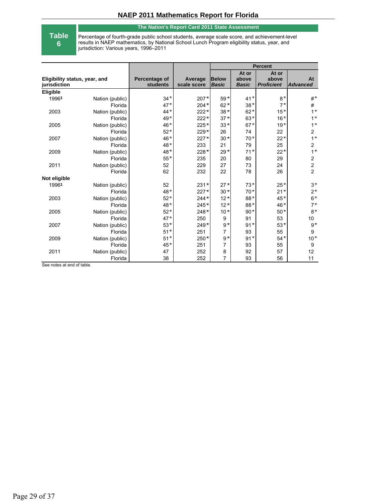### **The Nation's Report Card 2011 State Assessment**

# **Table**

**6**

Percentage of fourth-grade public school students, average scale score, and achievement-level results in NAEP mathematics, by National School Lunch Program eligibility status, year, and jurisdiction: Various years, 1996–2011

|                                               |                 |                                  |                        | <b>Percent</b>               |                                |                                     |                       |
|-----------------------------------------------|-----------------|----------------------------------|------------------------|------------------------------|--------------------------------|-------------------------------------|-----------------------|
| Eligibility status, year, and<br>jurisdiction |                 | Percentage of<br><b>students</b> | Average<br>scale score | <b>Below</b><br><b>Basic</b> | At or<br>above<br><b>Basic</b> | At or<br>above<br><b>Proficient</b> | At<br><b>Advanced</b> |
| Eligible                                      |                 |                                  |                        |                              |                                |                                     |                       |
| 19961                                         | Nation (public) | $34*$                            | $207*$                 | $59*$                        | $41*$                          | $8*$                                | $#$ *                 |
|                                               | Florida         | $47*$                            | $204*$                 | $62*$                        | $38*$                          | $7*$                                | #                     |
| 2003                                          | Nation (public) | $44*$                            | $222*$                 | $38*$                        | $62*$                          | $15*$                               | $1^{\star}$           |
|                                               | Florida         | $49*$                            | $222*$                 | $37*$                        | $63*$                          | $16*$                               | $1^{\star}$           |
| 2005                                          | Nation (public) | $46*$                            | $225*$                 | $33*$                        | $67*$                          | $19*$                               | $1^{\star}$           |
|                                               | Florida         | $52*$                            | 229*                   | 26                           | 74                             | 22                                  | $\overline{c}$        |
| 2007                                          | Nation (public) | $46*$                            | $227*$                 | $30*$                        | $70*$                          | $22*$                               | $1^{\star}$           |
|                                               | Florida         | $48*$                            | 233                    | 21                           | 79                             | 25                                  | $\overline{c}$        |
| 2009                                          | Nation (public) | $48*$                            | $228*$                 | $29*$                        | $71*$                          | $22*$                               | $1^{\star}$           |
|                                               | Florida         | $55*$                            | 235                    | 20                           | 80                             | 29                                  | $\mathbf 2$           |
| 2011                                          | Nation (public) | 52                               | 229                    | 27                           | 73                             | 24                                  | $\overline{c}$        |
|                                               | Florida         | 62                               | 232                    | 22                           | 78                             | 26                                  | $\overline{2}$        |
| Not eligible                                  |                 |                                  |                        |                              |                                |                                     |                       |
| 19961                                         | Nation (public) | 52                               | $231*$                 | $27*$                        | $73*$                          | $25*$                               | $3*$                  |
|                                               | Florida         | $48*$                            | $227*$                 | $30*$                        | $70*$                          | $21*$                               | $2*$                  |
| 2003                                          | Nation (public) | $52*$                            | $244*$                 | $12*$                        | 88*                            | $45*$                               | $6*$                  |
|                                               | Florida         | $48*$                            | $245*$                 | $12*$                        | $88*$                          | $46*$                               | $7*$                  |
| 2005                                          | Nation (public) | $52*$                            | $248*$                 | $10*$                        | $90*$                          | $50*$                               | $8*$                  |
|                                               | Florida         | $47*$                            | 250                    | 9                            | 91                             | 53                                  | $10\,$                |
| 2007                                          | Nation (public) | $53*$                            | $249*$                 | $9*$                         | $91*$                          | $53*$                               | $9*$                  |
|                                               | Florida         | $51*$                            | 251                    | $\overline{7}$               | 93                             | 55                                  | 9                     |
| 2009                                          | Nation (public) | $51*$                            | $250*$                 | $9*$                         | $91*$                          | $54*$                               | $10*$                 |
|                                               | Florida         | $45*$                            | 251                    | 7                            | 93                             | 55                                  | 9                     |
| 2011                                          | Nation (public) | 47                               | 252                    | 8                            | 92                             | 57                                  | 12                    |
|                                               | Florida         | 38                               | 252                    | $\overline{7}$               | 93                             | 56                                  | 11                    |

See notes at end of table.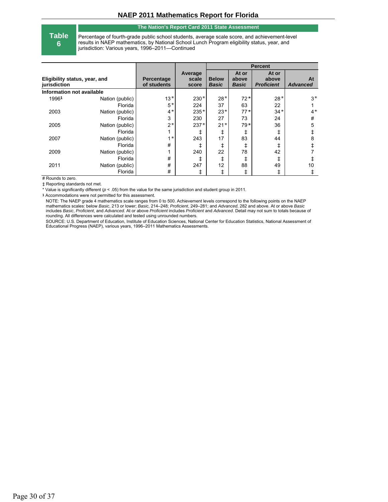### **The Nation's Report Card 2011 State Assessment**

# **Table**

**6**

Percentage of fourth-grade public school students, average scale score, and achievement-level results in NAEP mathematics, by National School Lunch Program eligibility status, year, and jurisdiction: Various years, 1996–2011—Continued

|                                               |                 |                           |                           | <b>Percent</b>               |                         |                                     |                       |
|-----------------------------------------------|-----------------|---------------------------|---------------------------|------------------------------|-------------------------|-------------------------------------|-----------------------|
| Eligibility status, year, and<br>jurisdiction |                 | Percentage<br>of students | Average<br>scale<br>score | <b>Below</b><br><b>Basic</b> | At or<br>above<br>Basic | At or<br>above<br><b>Proficient</b> | At<br><b>Advanced</b> |
| Information not available                     |                 |                           |                           |                              |                         |                                     |                       |
| 19961                                         | Nation (public) | $13*$                     | $230*$                    | $28*$                        | $72*$                   | $28*$                               | $3^{\star}$           |
|                                               | Florida         | $5*$                      | 224                       | 37                           | 63                      | 22                                  |                       |
| 2003                                          | Nation (public) | $4^{\star}$               | $235*$                    | $23*$                        | $77*$                   | $34*$                               | $4^{\star}$           |
|                                               | Florida         | 3                         | 230                       | 27                           | 73                      | 24                                  | #                     |
| 2005                                          | Nation (public) | $2^*$                     | $237*$                    | $21*$                        | $79*$                   | 36                                  | 5                     |
|                                               | Florida         |                           | ŧ                         | ŧ                            |                         | ŧ                                   |                       |
| 2007                                          | Nation (public) | $4*$                      | 243                       | 17                           | 83                      | 44                                  | 8                     |
|                                               | Florida         | #                         | ŧ                         | ŧ                            |                         | ŧ                                   |                       |
| 2009                                          | Nation (public) | 1                         | 240                       | 22                           | 78                      | 42                                  |                       |
|                                               | Florida         | #                         |                           |                              |                         | ŧ                                   |                       |
| 2011                                          | Nation (public) | #                         | 247                       | 12                           | 88                      | 49                                  | 10                    |
|                                               | Florida         | #                         | ŧ                         | ±                            |                         | ŧ                                   |                       |

# Rounds to zero.

‡ Reporting standards not met.

\* Value is significantly different (*p* < .05) from the value for the same jurisdiction and student group in 2011.

**1** Accommodations were not permitted for this assessment.

NOTE: The NAEP grade 4 mathematics scale ranges from 0 to 500. Achievement levels correspond to the following points on the NAEP<br>mathematics scales: below *Basic*, 213 or lower; *Basic*, 214–248; *Proficient*, 249–281; and includes *Basic*, *Proficient*, and *Advanced*. At or above *Proficient* includes *Proficient* and *Advanced*. Detail may not sum to totals because of rounding. All differences were calculated and tested using unrounded numbers.

SOURCE: U.S. Department of Education, Institute of Education Sciences, National Center for Education Statistics, National Assessment of Educational Progress (NAEP), various years, 1996–2011 Mathematics Assessments.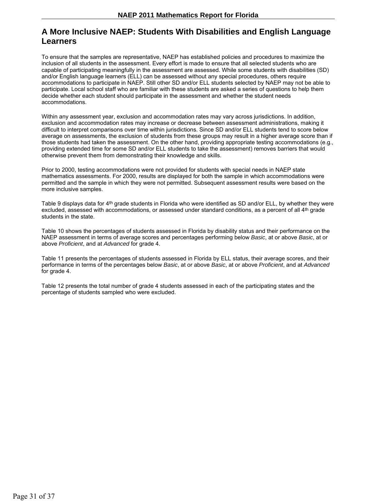# **A More Inclusive NAEP: Students With Disabilities and English Language Learners**

To ensure that the samples are representative, NAEP has established policies and procedures to maximize the inclusion of all students in the assessment. Every effort is made to ensure that all selected students who are capable of participating meaningfully in the assessment are assessed. While some students with disabilities (SD) and/or English language learners (ELL) can be assessed without any special procedures, others require accommodations to participate in NAEP. Still other SD and/or ELL students selected by NAEP may not be able to participate. Local school staff who are familiar with these students are asked a series of questions to help them decide whether each student should participate in the assessment and whether the student needs accommodations.

Within any assessment year, exclusion and accommodation rates may vary across jurisdictions. In addition, exclusion and accommodation rates may increase or decrease between assessment administrations, making it difficult to interpret comparisons over time within jurisdictions. Since SD and/or ELL students tend to score below average on assessments, the exclusion of students from these groups may result in a higher average score than if those students had taken the assessment. On the other hand, providing appropriate testing accommodations (e.g., providing extended time for some SD and/or ELL students to take the assessment) removes barriers that would otherwise prevent them from demonstrating their knowledge and skills.

Prior to 2000, testing accommodations were not provided for students with special needs in NAEP state mathematics assessments. For 2000, results are displayed for both the sample in which accommodations were permitted and the sample in which they were not permitted. Subsequent assessment results were based on the more inclusive samples.

Table 9 displays data for 4<sup>th</sup> grade students in Florida who were identified as SD and/or ELL, by whether they were excluded, assessed with accommodations, or assessed under standard conditions, as a percent of all 4<sup>th</sup> grade students in the state.

Table 10 shows the percentages of students assessed in Florida by disability status and their performance on the NAEP assessment in terms of average scores and percentages performing below *Basic*, at or above *Basic*, at or above *Proficient*, and at *Advanced* for grade 4.

Table 11 presents the percentages of students assessed in Florida by ELL status, their average scores, and their performance in terms of the percentages below *Basic*, at or above *Basic*, at or above *Proficient*, and at *Advanced* for grade 4.

Table 12 presents the total number of grade 4 students assessed in each of the participating states and the percentage of students sampled who were excluded.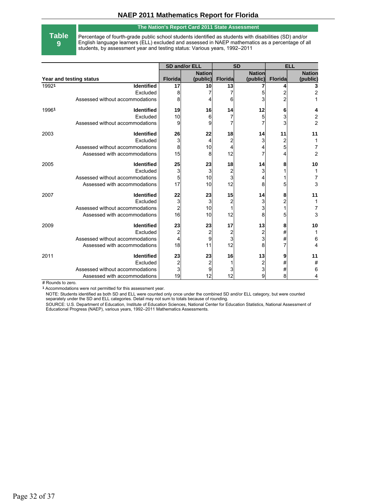### **The Nation's Report Card 2011 State Assessment**

**Table 9**

Percentage of fourth-grade public school students identified as students with disabilities (SD) and/or English language learners (ELL) excluded and assessed in NAEP mathematics as a percentage of all students, by assessment year and testing status: Various years, 1992–2011

|       |                                 | SD and/or ELL           |                |                         | <b>SD</b>      | <b>ELL</b>     |                         |
|-------|---------------------------------|-------------------------|----------------|-------------------------|----------------|----------------|-------------------------|
|       |                                 |                         | <b>Nation</b>  |                         | <b>Nation</b>  |                | <b>Nation</b>           |
|       | Year and testing status         | <b>Florida</b>          | (public)       | <b>Florida</b>          | (public)       | <b>Florida</b> | (public)                |
| 19921 | <b>Identified</b>               | 17                      | 10             | 13                      | 7              | 4              | 3                       |
|       | Excluded                        | 8                       |                | 7                       | 5              |                | $\overline{2}$          |
|       | Assessed without accommodations | 8                       |                | 6                       |                | 2              | 1                       |
| 19961 | <b>Identified</b>               | 19                      | 16             | 14                      | 12             | 6              | 4                       |
|       | Excluded                        | 10                      | 6              | 7                       | 5              | 3              | $\overline{\mathbf{c}}$ |
|       | Assessed without accommodations | 9                       | 9              | 7                       |                | 3              | $\overline{2}$          |
| 2003  | <b>Identified</b>               | 26                      | 22             | 18                      | 14             | 11             | 11                      |
|       | Excluded                        | 3                       | 4              | $\overline{c}$          | 3              | 2              | 1                       |
|       | Assessed without accommodations | 8                       | 10             | 4                       | 4              | 5              | 7                       |
|       | Assessed with accommodations    | 15                      | 8              | 12                      |                | 4              | $\overline{c}$          |
| 2005  | <b>Identified</b>               | 25                      | 23             | 18                      | 14             | 8              | 10                      |
|       | Excluded                        | 3                       | 3              | $\frac{2}{3}$           | 3              |                | 1                       |
|       | Assessed without accommodations | 5                       | 10             |                         | 4              |                | 7                       |
|       | Assessed with accommodations    | 17                      | 10             | 12                      | 8              | 5              | 3                       |
| 2007  | <b>Identified</b>               | 22                      | 23             | 15                      | 14             | 8              | 11                      |
|       | Excluded                        | 3                       | 3              | $\overline{\mathbf{c}}$ | 3              | 2              | 1                       |
|       | Assessed without accommodations | $\overline{\mathbf{c}}$ | 10             | 1                       | 3              |                | 7                       |
|       | Assessed with accommodations    | 16                      | 10             | 12                      | 8              | 5              | 3                       |
| 2009  | <b>Identified</b>               | 23                      | 23             | 17                      | 13             | 8              | 10                      |
|       | Excluded                        | $\overline{\mathbf{c}}$ | $\overline{c}$ | $\overline{\mathbf{c}}$ | $\overline{c}$ | #              | 1                       |
|       | Assessed without accommodations | 4                       | 9              | 3                       | 3              | #              | 6                       |
|       | Assessed with accommodations    | 18                      | 11             | 12                      | 8              | 7              | 4                       |
| 2011  | <b>Identified</b>               | 23                      | 23             | 16                      | 13             | 9              | 11                      |
|       | Excluded                        | $\overline{\mathbf{c}}$ | 2              |                         | 2              | #              | #                       |
|       | Assessed without accommodations | 3                       | 9              | 3                       | 3              | #              | 6                       |
|       | Assessed with accommodations    | 19                      | 12             | 12                      | 9              | 8              | 4                       |

# Rounds to zero.

**<sup>1</sup>** Accommodations were not permitted for this assessment year.

NOTE: Students identified as both SD and ELL were counted only once under the combined SD and/or ELL category, but were counted separately under the SD and ELL categories. Detail may not sum to totals because of rounding.

SOURCE: U.S. Department of Education, Institute of Education Sciences, National Center for Education Statistics, National Assessment of Educational Progress (NAEP), various years, 1992–2011 Mathematics Assessments.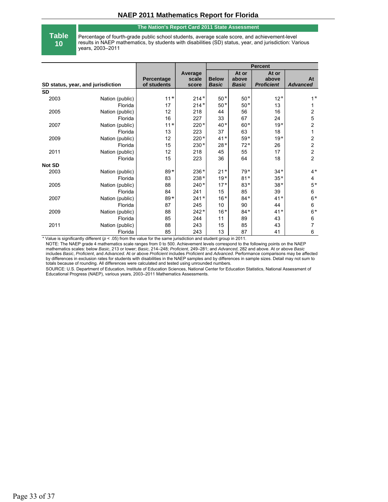#### **The Nation's Report Card 2011 State Assessment**

**Table 10**

Percentage of fourth-grade public school students, average scale score, and achievement-level results in NAEP mathematics, by students with disabilities (SD) status, year, and jurisdiction: Various years, 2003–2011

|               |                                   |                           |                           | <b>Percent</b>               |                                |                                     |                         |
|---------------|-----------------------------------|---------------------------|---------------------------|------------------------------|--------------------------------|-------------------------------------|-------------------------|
|               | SD status, year, and jurisdiction | Percentage<br>of students | Average<br>scale<br>score | <b>Below</b><br><b>Basic</b> | At or<br>above<br><b>Basic</b> | At or<br>above<br><b>Proficient</b> | At<br><b>Advanced</b>   |
| <b>SD</b>     |                                   |                           |                           |                              |                                |                                     |                         |
| 2003          | Nation (public)                   | $11*$                     | $214*$                    | $50*$                        | $50*$                          | $12*$                               | $1^{\star}$             |
|               | Florida                           | 17                        | $214*$                    | $50*$                        | $50*$                          | 13                                  | 1                       |
| 2005          | Nation (public)                   | 12                        | 218                       | 44                           | 56                             | 16                                  | 2                       |
|               | Florida                           | 16                        | 227                       | 33                           | 67                             | 24                                  | 5                       |
| 2007          | Nation (public)                   | $11*$                     | $220*$                    | $40*$                        | $60*$                          | $19*$                               | $\overline{c}$          |
|               | Florida                           | 13                        | 223                       | 37                           | 63                             | 18                                  | 1                       |
| 2009          | Nation (public)                   | 12                        | $220*$                    | $41*$                        | $59*$                          | $19*$                               | $\overline{c}$          |
|               | Florida                           | 15                        | $230*$                    | $28*$                        | $72*$                          | 26                                  | $\overline{\mathbf{c}}$ |
| 2011          | Nation (public)                   | 12                        | 218                       | 45                           | 55                             | 17                                  | $\mathbf 2$             |
|               | Florida                           | 15                        | 223                       | 36                           | 64                             | 18                                  | $\overline{2}$          |
| <b>Not SD</b> |                                   |                           |                           |                              |                                |                                     |                         |
| 2003          | Nation (public)                   | $89*$                     | $236*$                    | $21*$                        | $79*$                          | $34*$                               | $4*$                    |
|               | Florida                           | 83                        | 238*                      | $19*$                        | $81*$                          | $35*$                               | 4                       |
| 2005          | Nation (public)                   | 88                        | $240*$                    | $17*$                        | $83*$                          | $38*$                               | $5*$                    |
|               | Florida                           | 84                        | 241                       | 15                           | 85                             | 39                                  | $\,6$                   |
| 2007          | Nation (public)                   | $89*$                     | $241*$                    | $16*$                        | $84*$                          | $41*$                               | $6*$                    |
|               | Florida                           | 87                        | 245                       | 10                           | 90                             | 44                                  | 6                       |
| 2009          | Nation (public)                   | 88                        | $242*$                    | $16*$                        | $84*$                          | $41*$                               | $6*$                    |
|               | Florida                           | 85                        | 244                       | 11                           | 89                             | 43                                  | 6                       |
| 2011          | Nation (public)                   | 88                        | 243                       | 15                           | 85                             | 43                                  | 7                       |
|               | Florida                           | 85                        | 243                       | 13                           | 87                             | 41                                  | 6                       |

\* Value is significantly different (*p* < .05) from the value for the same jurisdiction and student group in 2011.

NOTE: The NAEP grade 4 mathematics scale ranges from 0 to 500. Achievement levels correspond to the following points on the NAEP mathematics scales: below *Basic*, 213 or lower; *Basic*, 214–248; *Proficient*, 249–281; and *Advanced*, 282 and above. At or above *Basic* includes *Basic*, *Proficient*, and *Advanced*. At or above *Proficient* includes *Proficient* and *Advanced*. Performance comparisons may be affected by differences in exclusion rates for students with disabilities in the NAEP samples and by differences in sample sizes. Detail may not sum to totals because of rounding. All differences were calculated and tested using unrounded numbers.

SOURCE: U.S. Department of Education, Institute of Education Sciences, National Center for Education Statistics, National Assessment of Educational Progress (NAEP), various years, 2003–2011 Mathematics Assessments.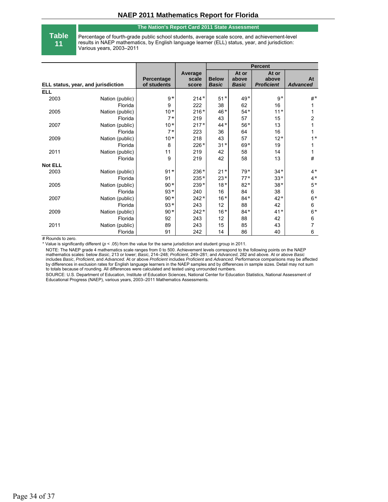#### **The Nation's Report Card 2011 State Assessment**

**Table 11**

Percentage of fourth-grade public school students, average scale score, and achievement-level results in NAEP mathematics, by English language learner (ELL) status, year, and jurisdiction: Various years, 2003–2011

|                |                                    |                           |                           | <b>Percent</b>               |                                |                                     |                       |
|----------------|------------------------------------|---------------------------|---------------------------|------------------------------|--------------------------------|-------------------------------------|-----------------------|
|                | ELL status, year, and jurisdiction | Percentage<br>of students | Average<br>scale<br>score | <b>Below</b><br><b>Basic</b> | At or<br>above<br><b>Basic</b> | At or<br>above<br><b>Proficient</b> | At<br><b>Advanced</b> |
| <b>ELL</b>     |                                    |                           |                           |                              |                                |                                     |                       |
| 2003           | Nation (public)                    | $9*$                      | $214*$                    | $51*$                        | $49*$                          | $9*$                                | $#^*$                 |
|                | Florida                            | 9                         | 222                       | 38                           | 62                             | 16                                  | 1                     |
| 2005           | Nation (public)                    | $10*$                     | $216*$                    | 46*                          | $54*$                          | $11*$                               | 1                     |
|                | Florida                            | $7^*$                     | 219                       | 43                           | 57                             | 15                                  | 2                     |
| 2007           | Nation (public)                    | $10*$                     | $217*$                    | $44*$                        | $56*$                          | 13                                  | 1                     |
|                | Florida                            | $7*$                      | 223                       | 36                           | 64                             | 16                                  | 1                     |
| 2009           | Nation (public)                    | $10*$                     | 218                       | 43                           | 57                             | $12*$                               | $1^{\star}$           |
|                | Florida                            | 8                         | $226*$                    | $31*$                        | $69*$                          | 19                                  | 1                     |
| 2011           | Nation (public)                    | 11                        | 219                       | 42                           | 58                             | 14                                  | 1                     |
|                | Florida                            | 9                         | 219                       | 42                           | 58                             | 13                                  | #                     |
| <b>Not ELL</b> |                                    |                           |                           |                              |                                |                                     |                       |
| 2003           | Nation (public)                    | $91*$                     | 236*                      | $21*$                        | $79*$                          | $34*$                               | $4^{\star}$           |
|                | Florida                            | 91                        | $235*$                    | $23*$                        | $77*$                          | $33*$                               | $4*$                  |
| 2005           | Nation (public)                    | $90*$                     | 239*                      | $18*$                        | $82*$                          | $38*$                               | $5*$                  |
|                | Florida                            | $93*$                     | 240                       | 16                           | 84                             | 38                                  | 6                     |
| 2007           | Nation (public)                    | $90*$                     | $242*$                    | $16*$                        | $84*$                          | $42*$                               | $6*$                  |
|                | Florida                            | $93*$                     | 243                       | 12                           | 88                             | 42                                  | 6                     |
| 2009           | Nation (public)                    | $90*$                     | $242*$                    | $16*$                        | $84*$                          | $41*$                               | $6*$                  |
|                | Florida                            | 92                        | 243                       | 12                           | 88                             | 42                                  | 6                     |
| 2011           | Nation (public)                    | 89                        | 243                       | 15                           | 85                             | 43                                  | $\overline{7}$        |
|                | Florida                            | 91                        | 242                       | 14                           | 86                             | 40                                  | 6                     |

# Rounds to zero.

\* Value is significantly different (*p* < .05) from the value for the same jurisdiction and student group in 2011.

NOTE: The NAEP grade 4 mathematics scale ranges from 0 to 500. Achievement levels correspond to the following points on the NAEP<br>mathematics scales: below *Basic*, 213 or lower; *Basic*, 214–248; *Proficient*, 249–281; and includes *Basic*, *Proficient*, and *Advanced*. At or above *Proficient* includes *Proficient* and *Advanced*. Performance comparisons may be affected by differences in exclusion rates for English language learners in the NAEP samples and by differences in sample sizes. Detail may not sum to totals because of rounding. All differences were calculated and tested using unrounded numbers.

SOURCE: U.S. Department of Education, Institute of Education Sciences, National Center for Education Statistics, National Assessment of Educational Progress (NAEP), various years, 2003–2011 Mathematics Assessments.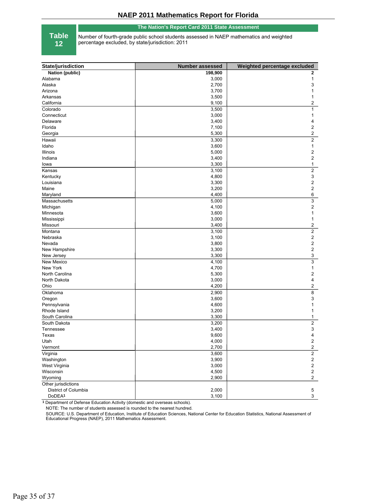### **The Nation's Report Card 2011 State Assessment**

**Table 12**

Number of fourth-grade public school students assessed in NAEP mathematics and weighted percentage excluded, by state/jurisdiction: 2011

| State/jurisdiction    | <b>Number assessed</b> | Weighted percentage excluded |
|-----------------------|------------------------|------------------------------|
| Nation (public)       | 198,900                | 2                            |
| Alabama               | 3,000                  | 1                            |
| Alaska                | 2,700                  | 3                            |
| Arizona               | 3,700                  | 1                            |
| Arkansas              | 3,500                  | 1                            |
| California            | 9,100                  | 2                            |
| Colorado              | 3,500                  | $\mathbf{1}$                 |
| Connecticut           | 3,000                  | 1                            |
| Delaware              | 3,400                  | 4                            |
| Florida               | 7,100                  | 2                            |
| Georgia               | 5,300                  | $\sqrt{2}$                   |
| Hawaii                | 3,300                  | $\boldsymbol{2}$             |
| Idaho                 | 3,600                  | 1                            |
| Illinois              | 5,000                  | $\sqrt{2}$                   |
| Indiana               | 3,400                  | $\sqrt{2}$                   |
| lowa                  | 3,300                  | 1                            |
| Kansas                | 3,100                  | $\sqrt{2}$                   |
| Kentucky              | 4,800                  | 3                            |
| Louisiana             | 3,300                  | $\sqrt{2}$                   |
| Maine                 | 3,200                  | $\sqrt{2}$                   |
| Maryland              | 4,400                  | 6                            |
| Massachusetts         | 5,000                  | 3                            |
|                       | 4,100                  | $\overline{2}$               |
| Michigan<br>Minnesota | 3,600                  | 1                            |
|                       |                        |                              |
| Mississippi           | 3,000                  | 1                            |
| Missouri              | 3,400                  | $\overline{\mathbf{c}}$      |
| Montana               | 3,100                  | $\boldsymbol{2}$             |
| Nebraska              | 3,100                  | $\overline{2}$               |
| Nevada                | 3,800                  | $\sqrt{2}$                   |
| New Hampshire         | 3,300                  | $\sqrt{2}$                   |
| New Jersey            | 3,300                  | 3                            |
| New Mexico            | 4,100                  | 3                            |
| New York              | 4,700                  | 1                            |
| North Carolina        | 5,300                  | 2                            |
| North Dakota          | 3,000                  | 4                            |
| Ohio                  | 4,200                  | 2                            |
| Oklahoma              | 2,900                  | 8                            |
| Oregon                | 3,600                  | 3                            |
| Pennsylvania          | 4,600                  | 1                            |
| Rhode Island          | 3,200                  | 1                            |
| South Carolina        | 3,300                  | 1                            |
| South Dakota          | 3,200                  | $\sqrt{2}$                   |
| Tennessee             | 3,400                  | 3                            |
| Texas                 | 9,600                  | 4                            |
| Utah                  | 4,000                  | 2                            |
| Vermont               | 2,700                  | $\boldsymbol{2}$             |
| Virginia              | 3,600                  | $\overline{\mathbf{2}}$      |
| Washington            | 3,900                  | $\mathbf 2$                  |
| West Virginia         | 3,000                  | $\mathbf 2$                  |
| Wisconsin             | 4,500                  | $\mathbf 2$                  |
| Wyoming               | 2,900                  | $\overline{a}$               |
| Other jurisdictions   |                        |                              |
| District of Columbia  | 2,000                  | $\overline{5}$               |
| DoDEA <sup>1</sup>    | 3,100                  | $\mathbf{3}$                 |

**1** Department of Defense Education Activity (domestic and overseas schools).

NOTE: The number of students assessed is rounded to the nearest hundred.

SOURCE: U.S. Department of Education, Institute of Education Sciences, National Center for Education Statistics, National Assessment of Educational Progress (NAEP), 2011 Mathematics Assessment.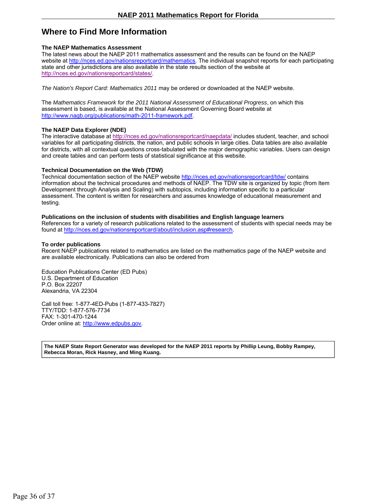# **Where to Find More Information**

### **The NAEP Mathematics Assessment**

The latest news about the NAEP 2011 mathematics assessment and the results can be found on the NAEP website at http://nces.ed.gov/nationsreportcard/mathematics. The individual snapshot reports for each participating state and other jurisdictions are also available in the state results section of the website at http://nces.ed.gov/nationsreportcard/states/.

*The Nation's Report Card: Mathematics 2011* may be ordered or downloaded at the NAEP website.

The *Mathematics Framework for the 2011 National Assessment of Educational Progress*, on which this assessment is based, is available at the National Assessment Governing Board website at http://www.nagb.org/publications/math-2011-framework.pdf.

### **The NAEP Data Explorer (NDE)**

The interactive database at http://nces.ed.gov/nationsreportcard/naepdata/ includes student, teacher, and school variables for all participating districts, the nation, and public schools in large cities. Data tables are also available for districts, with all contextual questions cross-tabulated with the major demographic variables. Users can design and create tables and can perform tests of statistical significance at this website.

### **Technical Documentation on the Web (TDW)**

Technical documentation section of the NAEP website http://nces.ed.gov/nationsreportcard/tdw/ contains information about the technical procedures and methods of NAEP. The TDW site is organized by topic (from Item Development through Analysis and Scaling) with subtopics, including information specific to a particular assessment. The content is written for researchers and assumes knowledge of educational measurement and testing.

### **Publications on the inclusion of students with disabilities and English language learners**

References for a variety of research publications related to the assessment of students with special needs may be found at http://nces.ed.gov/nationsreportcard/about/inclusion.asp#research.

### **To order publications**

Recent NAEP publications related to mathematics are listed on the mathematics page of the NAEP website and are available electronically. Publications can also be ordered from

Education Publications Center (ED Pubs) U.S. Department of Education P.O. Box 22207 Alexandria, VA 22304

Call toll free: 1-877-4ED-Pubs (1-877-433-7827) TTY/TDD: 1-877-576-7734 FAX: 1-301-470-1244 Order online at: http://www.edpubs.gov.

**The NAEP State Report Generator was developed for the NAEP 2011 reports by Phillip Leung, Bobby Rampey, Rebecca Moran, Rick Hasney, and Ming Kuang.**